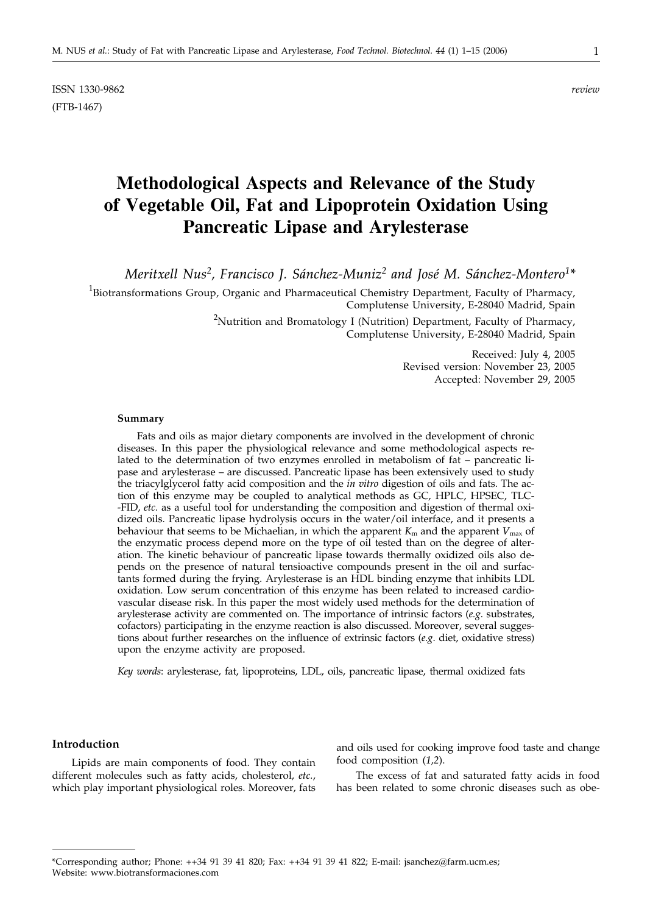ISSN 1330-9862 *review* (FTB-1467)

# **Methodological Aspects and Relevance of the Study of Vegetable Oil, Fat and Lipoprotein Oxidation Using Pancreatic Lipase and Arylesterase**

*Meritxell Nus2, Francisco J. Sánchez-Muniz2 and José M. Sánchez-Montero1\**

<sup>1</sup>Biotransformations Group, Organic and Pharmaceutical Chemistry Department, Faculty of Pharmacy, Complutense University, E-28040 Madrid, Spain

> $^{2}$ Nutrition and Bromatology I (Nutrition) Department, Faculty of Pharmacy, Complutense University, E-28040 Madrid, Spain

> > Received: July 4, 2005 Revised version: November 23, 2005 Accepted: November 29, 2005

#### **Summary**

Fats and oils as major dietary components are involved in the development of chronic diseases. In this paper the physiological relevance and some methodological aspects related to the determination of two enzymes enrolled in metabolism of fat – pancreatic lipase and arylesterase – are discussed. Pancreatic lipase has been extensively used to study the triacylglycerol fatty acid composition and the *in vitro* digestion of oils and fats. The action of this enzyme may be coupled to analytical methods as GC, HPLC, HPSEC, TLC- -FID, *etc.* as a useful tool for understanding the composition and digestion of thermal oxidized oils. Pancreatic lipase hydrolysis occurs in the water/oil interface, and it presents a behaviour that seems to be Michaelian, in which the apparent  $K<sub>m</sub>$  and the apparent  $V<sub>max</sub>$  of the enzymatic process depend more on the type of oil tested than on the degree of alteration. The kinetic behaviour of pancreatic lipase towards thermally oxidized oils also depends on the presence of natural tensioactive compounds present in the oil and surfactants formed during the frying. Arylesterase is an HDL binding enzyme that inhibits LDL oxidation. Low serum concentration of this enzyme has been related to increased cardiovascular disease risk. In this paper the most widely used methods for the determination of arylesterase activity are commented on. The importance of intrinsic factors (*e.g*. substrates, cofactors) participating in the enzyme reaction is also discussed. Moreover, several suggestions about further researches on the influence of extrinsic factors (*e.g*. diet, oxidative stress) upon the enzyme activity are proposed.

*Key words*: arylesterase, fat, lipoproteins, LDL, oils, pancreatic lipase, thermal oxidized fats

# **Introduction**

Lipids are main components of food. They contain different molecules such as fatty acids, cholesterol, *etc.*, which play important physiological roles. Moreover, fats

and oils used for cooking improve food taste and change food composition (*1,2*).

The excess of fat and saturated fatty acids in food has been related to some chronic diseases such as obe-

<sup>\*</sup>Corresponding author; Phone: ++34 91 39 41 820; Fax: ++34 91 39 41 822; E-mail: jsanchez*@*farm.ucm.es; Website: www.biotransformaciones.com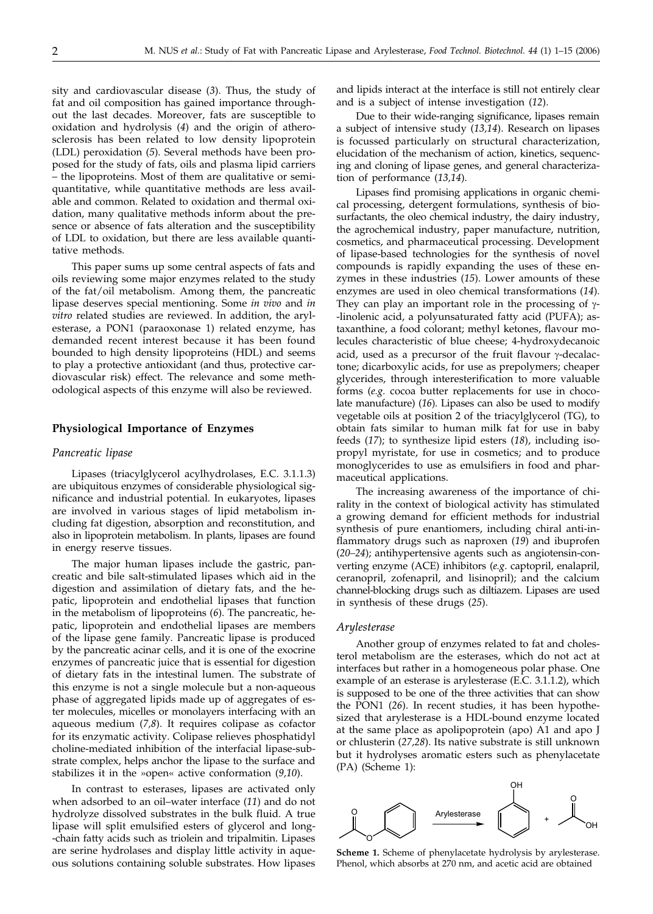sity and cardiovascular disease (*3*). Thus, the study of fat and oil composition has gained importance throughout the last decades. Moreover, fats are susceptible to oxidation and hydrolysis (*4*) and the origin of atherosclerosis has been related to low density lipoprotein (LDL) peroxidation (*5*). Several methods have been proposed for the study of fats, oils and plasma lipid carriers – the lipoproteins. Most of them are qualitative or semiquantitative, while quantitative methods are less available and common. Related to oxidation and thermal oxidation, many qualitative methods inform about the presence or absence of fats alteration and the susceptibility of LDL to oxidation, but there are less available quantitative methods.

This paper sums up some central aspects of fats and oils reviewing some major enzymes related to the study of the fat/oil metabolism. Among them, the pancreatic lipase deserves special mentioning. Some *in vivo* and *in vitro* related studies are reviewed. In addition, the arylesterase, a PON1 (paraoxonase 1) related enzyme, has demanded recent interest because it has been found bounded to high density lipoproteins (HDL) and seems to play a protective antioxidant (and thus, protective cardiovascular risk) effect. The relevance and some methodological aspects of this enzyme will also be reviewed.

#### **Physiological Importance of Enzymes**

#### *Pancreatic lipase*

Lipases (triacylglycerol acylhydrolases, E.C. 3.1.1.3) are ubiquitous enzymes of considerable physiological significance and industrial potential. In eukaryotes, lipases are involved in various stages of lipid metabolism including fat digestion, absorption and reconstitution, and also in lipoprotein metabolism. In plants, lipases are found in energy reserve tissues.

The major human lipases include the gastric, pancreatic and bile salt-stimulated lipases which aid in the digestion and assimilation of dietary fats, and the hepatic, lipoprotein and endothelial lipases that function in the metabolism of lipoproteins (*6*). The pancreatic, hepatic, lipoprotein and endothelial lipases are members of the lipase gene family. Pancreatic lipase is produced by the pancreatic acinar cells, and it is one of the exocrine enzymes of pancreatic juice that is essential for digestion of dietary fats in the intestinal lumen. The substrate of this enzyme is not a single molecule but a non-aqueous phase of aggregated lipids made up of aggregates of ester molecules, micelles or monolayers interfacing with an aqueous medium (*7,8*). It requires colipase as cofactor for its enzymatic activity. Colipase relieves phosphatidyl choline-mediated inhibition of the interfacial lipase-substrate complex, helps anchor the lipase to the surface and stabilizes it in the »open« active conformation (*9,10*).

In contrast to esterases, lipases are activated only when adsorbed to an oil–water interface (*11*) and do not hydrolyze dissolved substrates in the bulk fluid. A true lipase will split emulsified esters of glycerol and long- -chain fatty acids such as triolein and tripalmitin. Lipases are serine hydrolases and display little activity in aqueous solutions containing soluble substrates. How lipases

and lipids interact at the interface is still not entirely clear and is a subject of intense investigation (*12*).

Due to their wide-ranging significance, lipases remain a subject of intensive study (*13,14*). Research on lipases is focussed particularly on structural characterization, elucidation of the mechanism of action, kinetics, sequencing and cloning of lipase genes, and general characterization of performance (*13,14*).

Lipases find promising applications in organic chemical processing, detergent formulations, synthesis of biosurfactants, the oleo chemical industry, the dairy industry, the agrochemical industry, paper manufacture, nutrition, cosmetics, and pharmaceutical processing. Development of lipase-based technologies for the synthesis of novel compounds is rapidly expanding the uses of these enzymes in these industries (*15*). Lower amounts of these enzymes are used in oleo chemical transformations (*14*). They can play an important role in the processing of  $\gamma$ --linolenic acid, a polyunsaturated fatty acid (PUFA); astaxanthine, a food colorant; methyl ketones, flavour molecules characteristic of blue cheese; 4-hydroxydecanoic acid, used as a precursor of the fruit flavour  $\gamma$ -decalactone; dicarboxylic acids, for use as prepolymers; cheaper glycerides, through interesterification to more valuable forms (*e.g.* cocoa butter replacements for use in chocolate manufacture) (*16*). Lipases can also be used to modify vegetable oils at position 2 of the triacylglycerol (TG), to obtain fats similar to human milk fat for use in baby feeds (*17*); to synthesize lipid esters (*18*), including isopropyl myristate, for use in cosmetics; and to produce monoglycerides to use as emulsifiers in food and pharmaceutical applications.

The increasing awareness of the importance of chirality in the context of biological activity has stimulated a growing demand for efficient methods for industrial synthesis of pure enantiomers, including chiral anti-inflammatory drugs such as naproxen (*19*) and ibuprofen (*20–24*); antihypertensive agents such as angiotensin-converting enzyme (ACE) inhibitors (*e.g*. captopril, enalapril, ceranopril, zofenapril, and lisinopril); and the calcium channel-blocking drugs such as diltiazem. Lipases are used in synthesis of these drugs (*25*).

#### *Arylesterase*

Another group of enzymes related to fat and cholesterol metabolism are the esterases, which do not act at interfaces but rather in a homogeneous polar phase. One example of an esterase is arylesterase (E.C. 3.1.1.2), which is supposed to be one of the three activities that can show the PON1 (*26*). In recent studies, it has been hypothesized that arylesterase is a HDL-bound enzyme located at the same place as apolipoprotein (apo) A1 and apo J or chlusterin (*27,28*). Its native substrate is still unknown but it hydrolyses aromatic esters such as phenylacetate (PA) (Scheme 1):



**Scheme 1.** Scheme of phenylacetate hydrolysis by arylesterase. Phenol, which absorbs at 270 nm, and acetic acid are obtained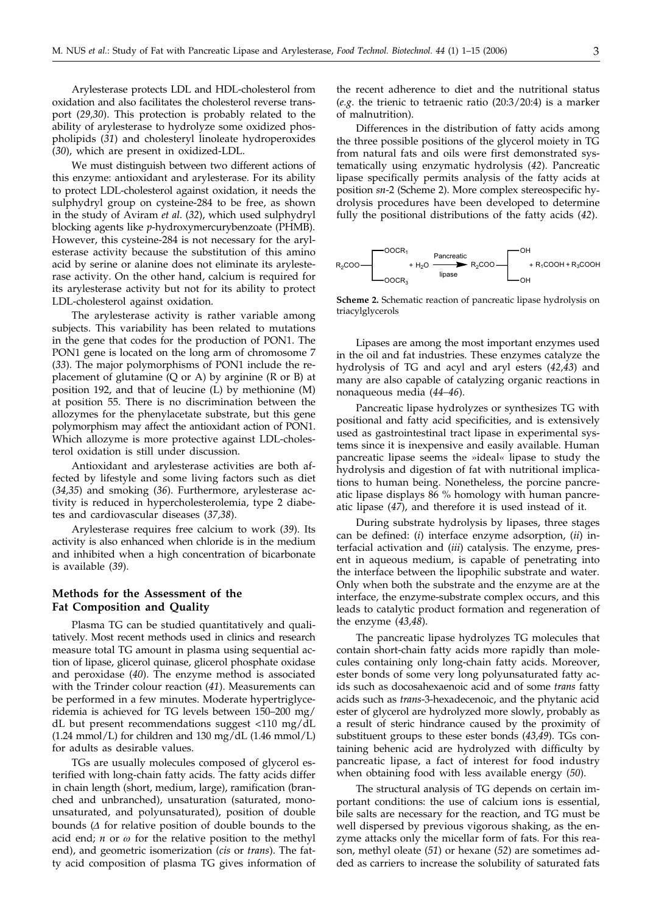Arylesterase protects LDL and HDL-cholesterol from oxidation and also facilitates the cholesterol reverse transport (*29,30*). This protection is probably related to the ability of arylesterase to hydrolyze some oxidized phospholipids (*31*) and cholesteryl linoleate hydroperoxides (*30*), which are present in oxidized-LDL.

We must distinguish between two different actions of this enzyme: antioxidant and arylesterase. For its ability to protect LDL-cholesterol against oxidation, it needs the sulphydryl group on cysteine-284 to be free, as shown in the study of Aviram *et al*. (*32*), which used sulphydryl blocking agents like *p*-hydroxymercurybenzoate (PHMB). However, this cysteine-284 is not necessary for the arylesterase activity because the substitution of this amino acid by serine or alanine does not eliminate its arylesterase activity. On the other hand, calcium is required for its arylesterase activity but not for its ability to protect LDL-cholesterol against oxidation.

The arylesterase activity is rather variable among subjects. This variability has been related to mutations in the gene that codes for the production of PON1. The PON1 gene is located on the long arm of chromosome 7 (*33*). The major polymorphisms of PON1 include the replacement of glutamine  $(Q \text{ or } A)$  by arginine  $(R \text{ or } B)$  at position 192, and that of leucine (L) by methionine (M) at position 55. There is no discrimination between the allozymes for the phenylacetate substrate, but this gene polymorphism may affect the antioxidant action of PON1. Which allozyme is more protective against LDL-cholesterol oxidation is still under discussion.

Antioxidant and arylesterase activities are both affected by lifestyle and some living factors such as diet (*34,35*) and smoking (*36*). Furthermore, arylesterase activity is reduced in hypercholesterolemia, type 2 diabetes and cardiovascular diseases (*37,38*).

Arylesterase requires free calcium to work (*39*). Its activity is also enhanced when chloride is in the medium and inhibited when a high concentration of bicarbonate is available (*39*).

## **Methods for the Assessment of the Fat Composition and Quality**

Plasma TG can be studied quantitatively and qualitatively. Most recent methods used in clinics and research measure total TG amount in plasma using sequential action of lipase, glicerol quinase, glicerol phosphate oxidase and peroxidase (*40*). The enzyme method is associated with the Trinder colour reaction (*41*). Measurements can be performed in a few minutes. Moderate hypertriglyceridemia is achieved for TG levels between 150–200 mg/ dL but present recommendations suggest <110 mg/dL  $(1.24 \text{ mmol/L})$  for children and 130 mg/dL  $(1.46 \text{ mmol/L})$ for adults as desirable values.

TGs are usually molecules composed of glycerol esterified with long-chain fatty acids. The fatty acids differ in chain length (short, medium, large), ramification (branched and unbranched), unsaturation (saturated, monounsaturated, and polyunsaturated), position of double bounds  $(\Delta)$  for relative position of double bounds to the acid end;  $n$  or  $\omega$  for the relative position to the methyl end), and geometric isomerization (*cis* or *trans*). The fatty acid composition of plasma TG gives information of

the recent adherence to diet and the nutritional status (*e.g*. the trienic to tetraenic ratio (20:3/20:4) is a marker of malnutrition).

Differences in the distribution of fatty acids among the three possible positions of the glycerol moiety in TG from natural fats and oils were first demonstrated systematically using enzymatic hydrolysis (*42*). Pancreatic lipase specifically permits analysis of the fatty acids at position *sn*-2 (Scheme 2). More complex stereospecific hydrolysis procedures have been developed to determine fully the positional distributions of the fatty acids (*42*).



**Scheme 2.** Schematic reaction of pancreatic lipase hydrolysis on triacylglycerols

Lipases are among the most important enzymes used in the oil and fat industries. These enzymes catalyze the hydrolysis of TG and acyl and aryl esters (*42,43*) and many are also capable of catalyzing organic reactions in nonaqueous media (*44–46*).

Pancreatic lipase hydrolyzes or synthesizes TG with positional and fatty acid specificities, and is extensively used as gastrointestinal tract lipase in experimental systems since it is inexpensive and easily available. Human pancreatic lipase seems the »ideal« lipase to study the hydrolysis and digestion of fat with nutritional implications to human being. Nonetheless, the porcine pancreatic lipase displays 86 % homology with human pancreatic lipase (*47*), and therefore it is used instead of it.

During substrate hydrolysis by lipases, three stages can be defined: (*i*) interface enzyme adsorption, (*ii*) interfacial activation and (*iii*) catalysis. The enzyme, present in aqueous medium, is capable of penetrating into the interface between the lipophilic substrate and water. Only when both the substrate and the enzyme are at the interface, the enzyme-substrate complex occurs, and this leads to catalytic product formation and regeneration of the enzyme (*43,48*).

The pancreatic lipase hydrolyzes TG molecules that contain short-chain fatty acids more rapidly than molecules containing only long-chain fatty acids. Moreover, ester bonds of some very long polyunsaturated fatty acids such as docosahexaenoic acid and of some *trans* fatty acids such as *trans*-3-hexadecenoic, and the phytanic acid ester of glycerol are hydrolyzed more slowly, probably as a result of steric hindrance caused by the proximity of substituent groups to these ester bonds (*43,49*). TGs containing behenic acid are hydrolyzed with difficulty by pancreatic lipase, a fact of interest for food industry when obtaining food with less available energy (*50*).

The structural analysis of TG depends on certain important conditions: the use of calcium ions is essential, bile salts are necessary for the reaction, and TG must be well dispersed by previous vigorous shaking, as the enzyme attacks only the micellar form of fats. For this reason, methyl oleate (*51*) or hexane (*52*) are sometimes added as carriers to increase the solubility of saturated fats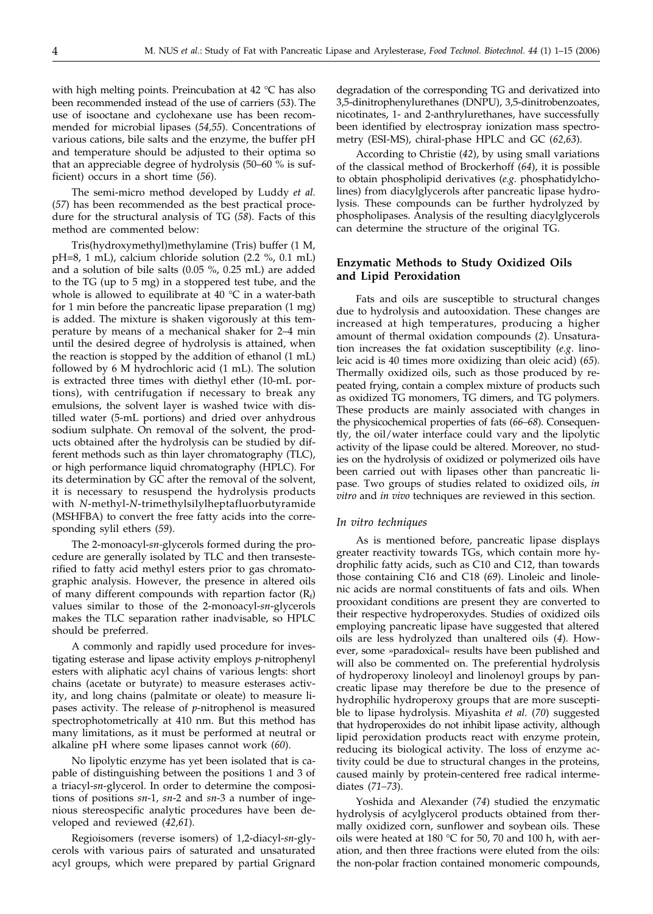with high melting points. Preincubation at 42 °C has also been recommended instead of the use of carriers (*53*). The use of isooctane and cyclohexane use has been recommended for microbial lipases (*54,55*). Concentrations of various cations, bile salts and the enzyme, the buffer pH and temperature should be adjusted to their optima so that an appreciable degree of hydrolysis (50–60 % is sufficient) occurs in a short time (*56*).

The semi-micro method developed by Luddy *et al.* (*57*) has been recommended as the best practical procedure for the structural analysis of TG (*58*). Facts of this method are commented below:

Tris(hydroxymethyl)methylamine (Tris) buffer (1 M, pH=8, 1 mL), calcium chloride solution (2.2 %, 0.1 mL) and a solution of bile salts (0.05 %, 0.25 mL) are added to the TG (up to 5 mg) in a stoppered test tube, and the whole is allowed to equilibrate at  $40^{\circ}$ C in a water-bath for 1 min before the pancreatic lipase preparation (1 mg) is added. The mixture is shaken vigorously at this temperature by means of a mechanical shaker for 2–4 min until the desired degree of hydrolysis is attained, when the reaction is stopped by the addition of ethanol (1 mL) followed by 6 M hydrochloric acid (1 mL). The solution is extracted three times with diethyl ether (10-mL portions), with centrifugation if necessary to break any emulsions, the solvent layer is washed twice with distilled water (5-mL portions) and dried over anhydrous sodium sulphate. On removal of the solvent, the products obtained after the hydrolysis can be studied by different methods such as thin layer chromatography (TLC), or high performance liquid chromatography (HPLC). For its determination by GC after the removal of the solvent, it is necessary to resuspend the hydrolysis products with *N*-methyl-*N*-trimethylsilylheptafluorbutyramide (MSHFBA) to convert the free fatty acids into the corresponding sylil ethers (*59*).

The 2-monoacyl-*sn-*glycerols formed during the procedure are generally isolated by TLC and then transesterified to fatty acid methyl esters prior to gas chromatographic analysis. However, the presence in altered oils of many different compounds with repartion factor  $(R_f)$ values similar to those of the 2-monoacyl-*sn*-glycerols makes the TLC separation rather inadvisable, so HPLC should be preferred.

A commonly and rapidly used procedure for investigating esterase and lipase activity employs *p*-nitrophenyl esters with aliphatic acyl chains of various lengts: short chains (acetate or butyrate) to measure esterases activity, and long chains (palmitate or oleate) to measure lipases activity. The release of *p*-nitrophenol is measured spectrophotometrically at 410 nm. But this method has many limitations, as it must be performed at neutral or alkaline pH where some lipases cannot work (*60*).

No lipolytic enzyme has yet been isolated that is capable of distinguishing between the positions 1 and 3 of a triacyl-*sn*-glycerol. In order to determine the compositions of positions *sn*-1, *sn*-2 and *sn*-3 a number of ingenious stereospecific analytic procedures have been developed and reviewed (*42,61*).

Regioisomers (reverse isomers) of 1,2-diacyl-*sn*-glycerols with various pairs of saturated and unsaturated acyl groups, which were prepared by partial Grignard

degradation of the corresponding TG and derivatized into 3,5-dinitrophenylurethanes (DNPU), 3,5-dinitrobenzoates, nicotinates, 1- and 2-anthrylurethanes, have successfully been identified by electrospray ionization mass spectrometry (ESI-MS), chiral-phase HPLC and GC (*62,63*).

According to Christie (*42*), by using small variations of the classical method of Brockerhoff (*64*), it is possible to obtain phospholipid derivatives (*e.g*. phosphatidylcholines) from diacylglycerols after pancreatic lipase hydrolysis. These compounds can be further hydrolyzed by phospholipases. Analysis of the resulting diacylglycerols can determine the structure of the original TG.

# **Enzymatic Methods to Study Oxidized Oils and Lipid Peroxidation**

Fats and oils are susceptible to structural changes due to hydrolysis and autooxidation. These changes are increased at high temperatures, producing a higher amount of thermal oxidation compounds (*2*). Unsaturation increases the fat oxidation susceptibility (*e.g*. linoleic acid is 40 times more oxidizing than oleic acid) (*65*). Thermally oxidized oils, such as those produced by repeated frying, contain a complex mixture of products such as oxidized TG monomers, TG dimers, and TG polymers. These products are mainly associated with changes in the physicochemical properties of fats (*66–68*). Consequently, the oil/water interface could vary and the lipolytic activity of the lipase could be altered. Moreover, no studies on the hydrolysis of oxidized or polymerized oils have been carried out with lipases other than pancreatic lipase. Two groups of studies related to oxidized oils, *in vitro* and *in vivo* techniques are reviewed in this section.

#### *In vitro techniques*

As is mentioned before, pancreatic lipase displays greater reactivity towards TGs, which contain more hydrophilic fatty acids, such as C10 and C12, than towards those containing C16 and C18 (*69*). Linoleic and linolenic acids are normal constituents of fats and oils. When prooxidant conditions are present they are converted to their respective hydroperoxydes. Studies of oxidized oils employing pancreatic lipase have suggested that altered oils are less hydrolyzed than unaltered oils (*4*). However, some »paradoxical« results have been published and will also be commented on. The preferential hydrolysis of hydroperoxy linoleoyl and linolenoyl groups by pancreatic lipase may therefore be due to the presence of hydrophilic hydroperoxy groups that are more susceptible to lipase hydrolysis. Miyashita *et al.* (*70*) suggested that hydroperoxides do not inhibit lipase activity, although lipid peroxidation products react with enzyme protein, reducing its biological activity. The loss of enzyme activity could be due to structural changes in the proteins, caused mainly by protein-centered free radical intermediates (*71–73*).

Yoshida and Alexander (*74*) studied the enzymatic hydrolysis of acylglycerol products obtained from thermally oxidized corn, sunflower and soybean oils. These oils were heated at 180 °C for 50, 70 and 100 h, with aeration, and then three fractions were eluted from the oils: the non-polar fraction contained monomeric compounds,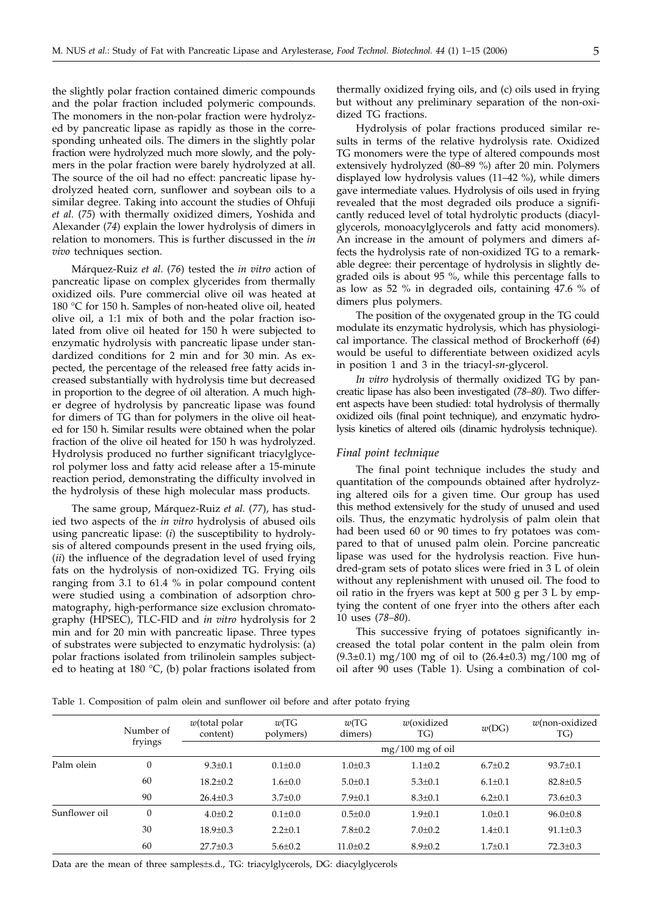the slightly polar fraction contained dimeric compounds and the polar fraction included polymeric compounds. The monomers in the non-polar fraction were hydrolyzed by pancreatic lipase as rapidly as those in the corresponding unheated oils. The dimers in the slightly polar fraction were hydrolyzed much more slowly, and the polymers in the polar fraction were barely hydrolyzed at all. The source of the oil had no effect: pancreatic lipase hydrolyzed heated corn, sunflower and soybean oils to a similar degree. Taking into account the studies of Ohfuji *et al.* (*75*) with thermally oxidized dimers, Yoshida and Alexander (*74*) explain the lower hydrolysis of dimers in relation to monomers. This is further discussed in the *in vivo* techniques section.

Márquez-Ruiz *et al*. (*76*) tested the *in vitro* action of pancreatic lipase on complex glycerides from thermally oxidized oils. Pure commercial olive oil was heated at 180 °C for 150 h. Samples of non-heated olive oil, heated olive oil, a 1:1 mix of both and the polar fraction isolated from olive oil heated for 150 h were subjected to enzymatic hydrolysis with pancreatic lipase under standardized conditions for 2 min and for 30 min. As expected, the percentage of the released free fatty acids increased substantially with hydrolysis time but decreased in proportion to the degree of oil alteration. A much higher degree of hydrolysis by pancreatic lipase was found for dimers of TG than for polymers in the olive oil heated for 150 h. Similar results were obtained when the polar fraction of the olive oil heated for 150 h was hydrolyzed. Hydrolysis produced no further significant triacylglycerol polymer loss and fatty acid release after a 15-minute reaction period, demonstrating the difficulty involved in the hydrolysis of these high molecular mass products.

The same group, Márquez-Ruiz *et al.* (*77*), has studied two aspects of the *in vitro* hydrolysis of abused oils using pancreatic lipase: (*i*) the susceptibility to hydrolysis of altered compounds present in the used frying oils, (*ii*) the influence of the degradation level of used frying fats on the hydrolysis of non-oxidized TG. Frying oils ranging from 3.1 to 61.4 % in polar compound content were studied using a combination of adsorption chromatography, high-performance size exclusion chromatography (HPSEC), TLC-FID and *in vitro* hydrolysis for 2 min and for 20 min with pancreatic lipase. Three types of substrates were subjected to enzymatic hydrolysis: (a) polar fractions isolated from trilinolein samples subjected to heating at 180  $\degree$ C, (b) polar fractions isolated from

thermally oxidized frying oils, and (c) oils used in frying but without any preliminary separation of the non-oxidized TG fractions.

Hydrolysis of polar fractions produced similar results in terms of the relative hydrolysis rate. Oxidized TG monomers were the type of altered compounds most extensively hydrolyzed (80–89 %) after 20 min. Polymers displayed low hydrolysis values (11–42 %), while dimers gave intermediate values. Hydrolysis of oils used in frying revealed that the most degraded oils produce a significantly reduced level of total hydrolytic products (diacylglycerols, monoacylglycerols and fatty acid monomers). An increase in the amount of polymers and dimers affects the hydrolysis rate of non-oxidized TG to a remarkable degree: their percentage of hydrolysis in slightly degraded oils is about 95 %, while this percentage falls to as low as 52 % in degraded oils, containing 47.6 % of dimers plus polymers.

The position of the oxygenated group in the TG could modulate its enzymatic hydrolysis, which has physiological importance. The classical method of Brockerhoff (*64*) would be useful to differentiate between oxidized acyls in position 1 and 3 in the triacyl-*sn*-glycerol.

*In vitro* hydrolysis of thermally oxidized TG by pancreatic lipase has also been investigated (*78–80*). Two different aspects have been studied: total hydrolysis of thermally oxidized oils (final point technique), and enzymatic hydrolysis kinetics of altered oils (dinamic hydrolysis technique).

#### *Final point technique*

The final point technique includes the study and quantitation of the compounds obtained after hydrolyzing altered oils for a given time. Our group has used this method extensively for the study of unused and used oils. Thus, the enzymatic hydrolysis of palm olein that had been used 60 or 90 times to fry potatoes was compared to that of unused palm olein. Porcine pancreatic lipase was used for the hydrolysis reaction. Five hundred-gram sets of potato slices were fried in 3 L of olein without any replenishment with unused oil. The food to oil ratio in the fryers was kept at 500 g per 3 L by emptying the content of one fryer into the others after each 10 uses (*78–80*).

This successive frying of potatoes significantly increased the total polar content in the palm olein from  $(9.3\pm0.1)$  mg/100 mg of oil to  $(26.4\pm0.3)$  mg/100 mg of oil after 90 uses (Table 1). Using a combination of col-

Table 1. Composition of palm olein and sunflower oil before and after potato frying

|               | Number of<br>fryings | $w$ (total polar<br>content) | w(TG)<br>polymers) | w(TG)<br>dimers) | w(oxidized<br>TG)  | w(DG)         | $w$ (non-oxidized<br>TG) |
|---------------|----------------------|------------------------------|--------------------|------------------|--------------------|---------------|--------------------------|
|               |                      |                              |                    |                  | $mg/100$ mg of oil |               |                          |
| Palm olein    | $\overline{0}$       | $9.3 \pm 0.1$                | $0.1 \pm 0.0$      | $1.0 \pm 0.3$    | $1.1 \pm 0.2$      | $6.7 \pm 0.2$ | $93.7 + 0.1$             |
|               | 60                   | $18.2 \pm 0.2$               | $1.6 \pm 0.0$      | $5.0 \pm 0.1$    | $5.3 \pm 0.1$      | $6.1 \pm 0.1$ | $82.8 \pm 0.5$           |
|               | 90                   | $26.4 \pm 0.3$               | $3.7 \pm 0.0$      | $7.9 \pm 0.1$    | $8.3 \pm 0.1$      | $6.2 \pm 0.1$ | 73.6±0.3                 |
| Sunflower oil | $\mathbf{0}$         | $4.0 \pm 0.2$                | $0.1 \pm 0.0$      | $0.5 \pm 0.0$    | $1.9 \pm 0.1$      | $1.0 \pm 0.1$ | $96.0 \pm 0.8$           |
|               | 30                   | $18.9 \pm 0.3$               | $2.2 \pm 0.1$      | $7.8 \pm 0.2$    | $7.0 \pm 0.2$      | $1.4 \pm 0.1$ | $91.1 \pm 0.3$           |
|               | 60                   | $27.7 \pm 0.3$               | $5.6 \pm 0.2$      | $11.0 \pm 0.2$   | $8.9 \pm 0.2$      | $1.7 \pm 0.1$ | $72.3 \pm 0.3$           |

Data are the mean of three samples±s.d., TG: triacylglycerols, DG: diacylglycerols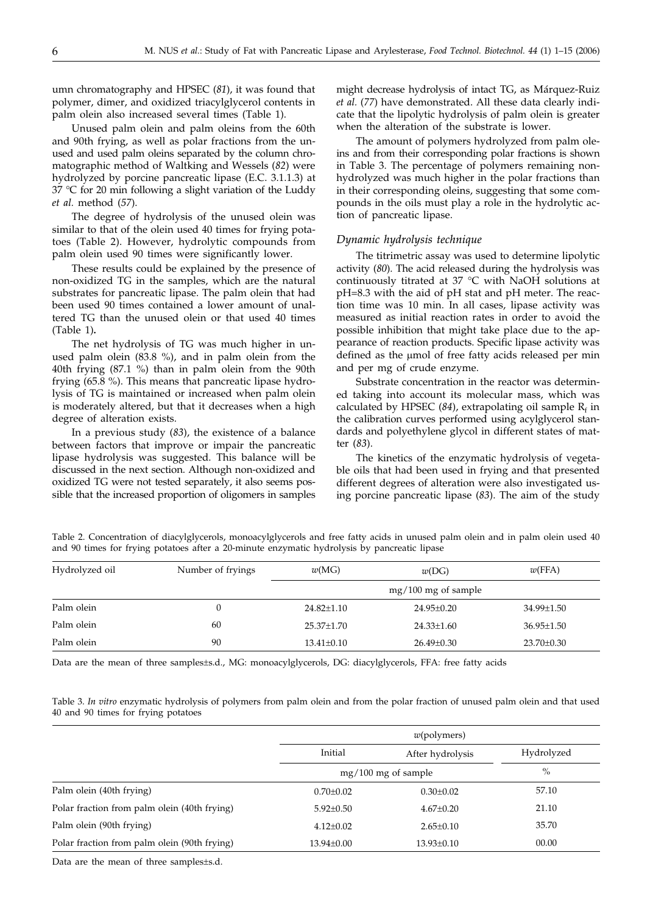umn chromatography and HPSEC (*81*), it was found that polymer, dimer, and oxidized triacylglycerol contents in palm olein also increased several times (Table 1).

Unused palm olein and palm oleins from the 60th and 90th frying, as well as polar fractions from the unused and used palm oleins separated by the column chromatographic method of Waltking and Wessels (*82*) were hydrolyzed by porcine pancreatic lipase (E.C. 3.1.1.3) at 37 °C for 20 min following a slight variation of the Luddy *et al.* method (*57*).

The degree of hydrolysis of the unused olein was similar to that of the olein used 40 times for frying potatoes (Table 2). However, hydrolytic compounds from palm olein used 90 times were significantly lower.

These results could be explained by the presence of non-oxidized TG in the samples, which are the natural substrates for pancreatic lipase. The palm olein that had been used 90 times contained a lower amount of unaltered TG than the unused olein or that used 40 times (Table 1)**.**

The net hydrolysis of TG was much higher in unused palm olein (83.8 %), and in palm olein from the 40th frying (87.1 %) than in palm olein from the 90th frying (65.8 %). This means that pancreatic lipase hydrolysis of TG is maintained or increased when palm olein is moderately altered, but that it decreases when a high degree of alteration exists.

In a previous study (*83*), the existence of a balance between factors that improve or impair the pancreatic lipase hydrolysis was suggested. This balance will be discussed in the next section. Although non-oxidized and oxidized TG were not tested separately, it also seems possible that the increased proportion of oligomers in samples

might decrease hydrolysis of intact TG, as Márquez-Ruiz *et al.* (*77*) have demonstrated. All these data clearly indicate that the lipolytic hydrolysis of palm olein is greater when the alteration of the substrate is lower.

The amount of polymers hydrolyzed from palm oleins and from their corresponding polar fractions is shown in Table 3. The percentage of polymers remaining nonhydrolyzed was much higher in the polar fractions than in their corresponding oleins, suggesting that some compounds in the oils must play a role in the hydrolytic action of pancreatic lipase.

#### *Dynamic hydrolysis technique*

The titrimetric assay was used to determine lipolytic activity (*80*). The acid released during the hydrolysis was continuously titrated at 37 °C with NaOH solutions at pH=8.3 with the aid of pH stat and pH meter. The reaction time was 10 min. In all cases, lipase activity was measured as initial reaction rates in order to avoid the possible inhibition that might take place due to the appearance of reaction products. Specific lipase activity was defined as the µmol of free fatty acids released per min and per mg of crude enzyme.

Substrate concentration in the reactor was determined taking into account its molecular mass, which was calculated by HPSEC  $(84)$ , extrapolating oil sample  $R_f$  in the calibration curves performed using acylglycerol standards and polyethylene glycol in different states of matter (*83*).

The kinetics of the enzymatic hydrolysis of vegetable oils that had been used in frying and that presented different degrees of alteration were also investigated using porcine pancreatic lipase (*83*). The aim of the study

Table 2. Concentration of diacylglycerols, monoacylglycerols and free fatty acids in unused palm olein and in palm olein used 40 and 90 times for frying potatoes after a 20-minute enzymatic hydrolysis by pancreatic lipase

| Hydrolyzed oil | Number of fryings | w(MG)            | w(DG)               | w(FFA)           |
|----------------|-------------------|------------------|---------------------|------------------|
|                |                   |                  | mg/100 mg of sample |                  |
| Palm olein     |                   | $24.82 \pm 1.10$ | 24.95±0.20          | 34.99±1.50       |
| Palm olein     | 60                | $25.37 \pm 1.70$ | $24.33 \pm 1.60$    | $36.95 \pm 1.50$ |
| Palm olein     | 90                | $13.41 \pm 0.10$ | $26.49 \pm 0.30$    | $23.70 \pm 0.30$ |

Data are the mean of three samples±s.d., MG: monoacylglycerols, DG: diacylglycerols, FFA: free fatty acids

Table 3. *In vitro* enzymatic hydrolysis of polymers from palm olein and from the polar fraction of unused palm olein and that used 40 and 90 times for frying potatoes

|                                              | $w(\text{polymers})$  |                  |            |
|----------------------------------------------|-----------------------|------------------|------------|
|                                              | Initial               | After hydrolysis | Hydrolyzed |
|                                              | $mg/100$ mg of sample |                  | $\%$       |
| Palm olein (40th frying)                     | $0.70 \pm 0.02$       | $0.30 \pm 0.02$  | 57.10      |
| Polar fraction from palm olein (40th frying) | $5.92 \pm 0.50$       | $4.67 \pm 0.20$  | 21.10      |
| Palm olein (90th frying)                     | $4.12 \pm 0.02$       | $2.65 \pm 0.10$  | 35.70      |
| Polar fraction from palm olein (90th frying) | $13.94 \pm 0.00$      | $13.93 \pm 0.10$ | 00.00      |

Data are the mean of three samples±s.d.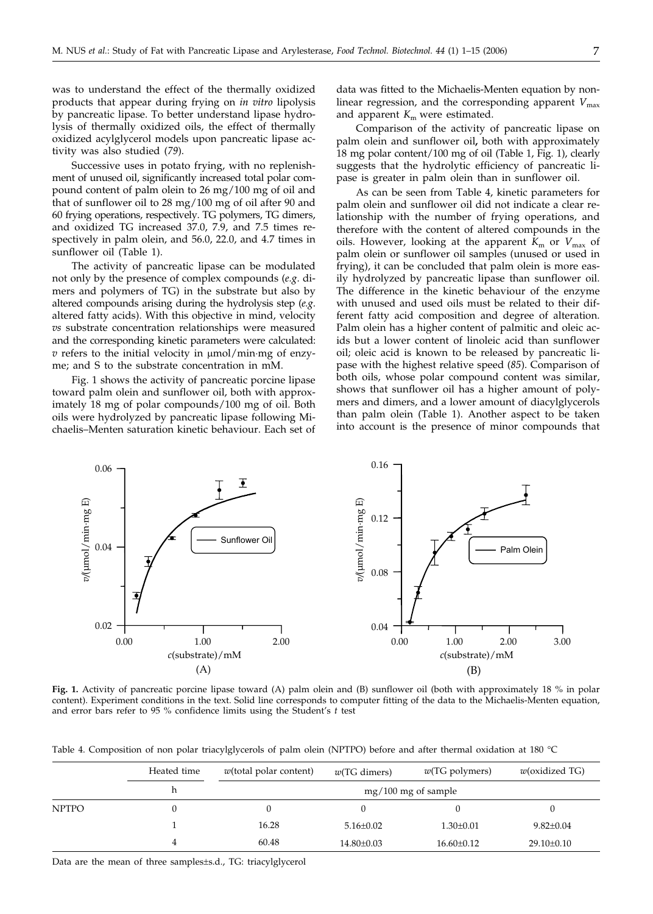was to understand the effect of the thermally oxidized products that appear during frying on *in vitro* lipolysis by pancreatic lipase. To better understand lipase hydrolysis of thermally oxidized oils, the effect of thermally oxidized acylglycerol models upon pancreatic lipase activity was also studied (*79*).

Successive uses in potato frying, with no replenishment of unused oil, significantly increased total polar compound content of palm olein to 26 mg/100 mg of oil and that of sunflower oil to 28 mg/100 mg of oil after 90 and 60 frying operations, respectively. TG polymers, TG dimers, and oxidized TG increased 37.0, 7.9, and 7.5 times respectively in palm olein, and 56.0, 22.0, and 4.7 times in sunflower oil (Table 1).

The activity of pancreatic lipase can be modulated not only by the presence of complex compounds (*e.g*. dimers and polymers of TG) in the substrate but also by altered compounds arising during the hydrolysis step (*e.g*. altered fatty acids). With this objective in mind, velocity *vs* substrate concentration relationships were measured and the corresponding kinetic parameters were calculated:  $v$  refers to the initial velocity in  $umol/min$  mg of enzyme; and S to the substrate concentration in mM.

Fig. 1 shows the activity of pancreatic porcine lipase toward palm olein and sunflower oil, both with approximately 18 mg of polar compounds/100 mg of oil. Both oils were hydrolyzed by pancreatic lipase following Michaelis–Menten saturation kinetic behaviour. Each set of

data was fitted to the Michaelis-Menten equation by nonlinear regression, and the corresponding apparent  $V_{\text{max}}$ and apparent  $K<sub>m</sub>$  were estimated.

Comparison of the activity of pancreatic lipase on palm olein and sunflower oil**,** both with approximately 18 mg polar content/100 mg of oil (Table 1, Fig. 1), clearly suggests that the hydrolytic efficiency of pancreatic lipase is greater in palm olein than in sunflower oil.

As can be seen from Table 4, kinetic parameters for palm olein and sunflower oil did not indicate a clear relationship with the number of frying operations, and therefore with the content of altered compounds in the oils. However, looking at the apparent  $K<sub>m</sub>$  or  $V<sub>max</sub>$  of palm olein or sunflower oil samples (unused or used in frying), it can be concluded that palm olein is more easily hydrolyzed by pancreatic lipase than sunflower oil. The difference in the kinetic behaviour of the enzyme with unused and used oils must be related to their different fatty acid composition and degree of alteration. Palm olein has a higher content of palmitic and oleic acids but a lower content of linoleic acid than sunflower oil; oleic acid is known to be released by pancreatic lipase with the highest relative speed (*85*). Comparison of both oils, whose polar compound content was similar, shows that sunflower oil has a higher amount of polymers and dimers, and a lower amount of diacylglycerols than palm olein (Table 1). Another aspect to be taken into account is the presence of minor compounds that



**Fig. 1.** Activity of pancreatic porcine lipase toward (A) palm olein and (B) sunflower oil (both with approximately 18 % in polar content). Experiment conditions in the text. Solid line corresponds to computer fitting of the data to the Michaelis-Menten equation, and error bars refer to 95 % confidence limits using the Student's *t* test

Table 4. Composition of non polar triacylglycerols of palm olein (NPTPO) before and after thermal oxidation at 180 °C

|              | Heated time | $w$ (total polar content) | $w(TG \text{ dimers})$ | $w(TG$ polymers)      | $w$ (oxidized TG) |
|--------------|-------------|---------------------------|------------------------|-----------------------|-------------------|
|              | h           |                           |                        | $mg/100$ mg of sample |                   |
| <b>NPTPO</b> | $\theta$    |                           |                        |                       |                   |
|              |             | 16.28                     | $5.16 \pm 0.02$        | $1.30 \pm 0.01$       | $9.82 \pm 0.04$   |
|              | 4           | 60.48                     | 14.80±0.03             | $16.60 \pm 0.12$      | $29.10 \pm 0.10$  |

Data are the mean of three samples±s.d., TG: triacylglycerol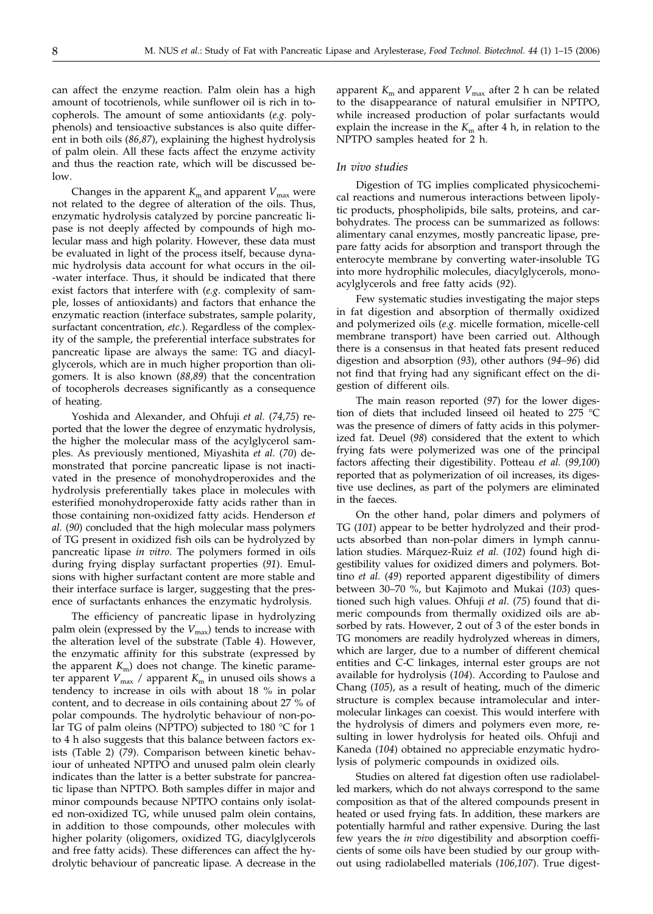can affect the enzyme reaction. Palm olein has a high amount of tocotrienols, while sunflower oil is rich in tocopherols. The amount of some antioxidants (*e.g.* polyphenols) and tensioactive substances is also quite different in both oils (*86,87*), explaining the highest hydrolysis of palm olein. All these facts affect the enzyme activity and thus the reaction rate, which will be discussed below.

Changes in the apparent  $K<sub>m</sub>$  and apparent  $V<sub>max</sub>$  were not related to the degree of alteration of the oils. Thus, enzymatic hydrolysis catalyzed by porcine pancreatic lipase is not deeply affected by compounds of high molecular mass and high polarity. However, these data must be evaluated in light of the process itself, because dynamic hydrolysis data account for what occurs in the oil- -water interface. Thus, it should be indicated that there exist factors that interfere with (*e.g*. complexity of sample, losses of antioxidants) and factors that enhance the enzymatic reaction (interface substrates, sample polarity, surfactant concentration, *etc.*). Regardless of the complexity of the sample, the preferential interface substrates for pancreatic lipase are always the same: TG and diacylglycerols, which are in much higher proportion than oligomers. It is also known (*88,89*) that the concentration of tocopherols decreases significantly as a consequence of heating.

Yoshida and Alexander, and Ohfuji *et al.* (*74,75*) reported that the lower the degree of enzymatic hydrolysis, the higher the molecular mass of the acylglycerol samples. As previously mentioned, Miyashita *et al.* (*70*) demonstrated that porcine pancreatic lipase is not inactivated in the presence of monohydroperoxides and the hydrolysis preferentially takes place in molecules with esterified monohydroperoxide fatty acids rather than in those containing non-oxidized fatty acids. Henderson *et al.* (*90*) concluded that the high molecular mass polymers of TG present in oxidized fish oils can be hydrolyzed by pancreatic lipase *in vitro*. The polymers formed in oils during frying display surfactant properties (*91*). Emulsions with higher surfactant content are more stable and their interface surface is larger, suggesting that the presence of surfactants enhances the enzymatic hydrolysis.

The efficiency of pancreatic lipase in hydrolyzing palm olein (expressed by the  $V_{\text{max}}$ ) tends to increase with the alteration level of the substrate (Table 4). However, the enzymatic affinity for this substrate (expressed by the apparent  $K<sub>m</sub>$ ) does not change. The kinetic parameter apparent *V*<sub>max</sub> / apparent *K*<sub>m</sub> in unused oils shows a tendency to increase in oils with about 18 % in polar content, and to decrease in oils containing about 27 % of polar compounds. The hydrolytic behaviour of non-polar TG of palm oleins (NPTPO) subjected to 180 °C for 1 to 4 h also suggests that this balance between factors exists (Table 2) (*79*). Comparison between kinetic behaviour of unheated NPTPO and unused palm olein clearly indicates than the latter is a better substrate for pancreatic lipase than NPTPO. Both samples differ in major and minor compounds because NPTPO contains only isolated non-oxidized TG, while unused palm olein contains, in addition to those compounds, other molecules with higher polarity (oligomers, oxidized TG, diacylglycerols and free fatty acids). These differences can affect the hydrolytic behaviour of pancreatic lipase. A decrease in the

apparent  $K<sub>m</sub>$  and apparent  $V<sub>max</sub>$  after 2 h can be related to the disappearance of natural emulsifier in NPTPO, while increased production of polar surfactants would explain the increase in the  $K<sub>m</sub>$  after 4 h, in relation to the NPTPO samples heated for 2 h.

#### *In vivo studies*

Digestion of TG implies complicated physicochemical reactions and numerous interactions between lipolytic products, phospholipids, bile salts, proteins, and carbohydrates. The process can be summarized as follows: alimentary canal enzymes, mostly pancreatic lipase, prepare fatty acids for absorption and transport through the enterocyte membrane by converting water-insoluble TG into more hydrophilic molecules, diacylglycerols, monoacylglycerols and free fatty acids (*92*).

Few systematic studies investigating the major steps in fat digestion and absorption of thermally oxidized and polymerized oils (*e.g.* micelle formation, micelle-cell membrane transport) have been carried out. Although there is a consensus in that heated fats present reduced digestion and absorption (*93*), other authors (*94–96*) did not find that frying had any significant effect on the digestion of different oils.

The main reason reported (*97*) for the lower digestion of diets that included linseed oil heated to 275 °C was the presence of dimers of fatty acids in this polymerized fat. Deuel (*98*) considered that the extent to which frying fats were polymerized was one of the principal factors affecting their digestibility. Potteau *et al.* (*99,100*) reported that as polymerization of oil increases, its digestive use declines, as part of the polymers are eliminated in the faeces.

On the other hand, polar dimers and polymers of TG (*101*) appear to be better hydrolyzed and their products absorbed than non-polar dimers in lymph cannulation studies. Márquez-Ruiz *et al.* (*102*) found high digestibility values for oxidized dimers and polymers. Bottino *et al.* (*49*) reported apparent digestibility of dimers between 30–70 %, but Kajimoto and Mukai (*103*) questioned such high values. Ohfuji *et al*. (*75*) found that dimeric compounds from thermally oxidized oils are absorbed by rats. However, 2 out of 3 of the ester bonds in TG monomers are readily hydrolyzed whereas in dimers, which are larger, due to a number of different chemical entities and C-C linkages, internal ester groups are not available for hydrolysis (*104*). According to Paulose and Chang (*105*), as a result of heating, much of the dimeric structure is complex because intramolecular and intermolecular linkages can coexist. This would interfere with the hydrolysis of dimers and polymers even more, resulting in lower hydrolysis for heated oils. Ohfuji and Kaneda (*104*) obtained no appreciable enzymatic hydrolysis of polymeric compounds in oxidized oils.

Studies on altered fat digestion often use radiolabelled markers, which do not always correspond to the same composition as that of the altered compounds present in heated or used frying fats. In addition, these markers are potentially harmful and rather expensive. During the last few years the *in vivo* digestibility and absorption coefficients of some oils have been studied by our group without using radiolabelled materials (*106,107*). True digest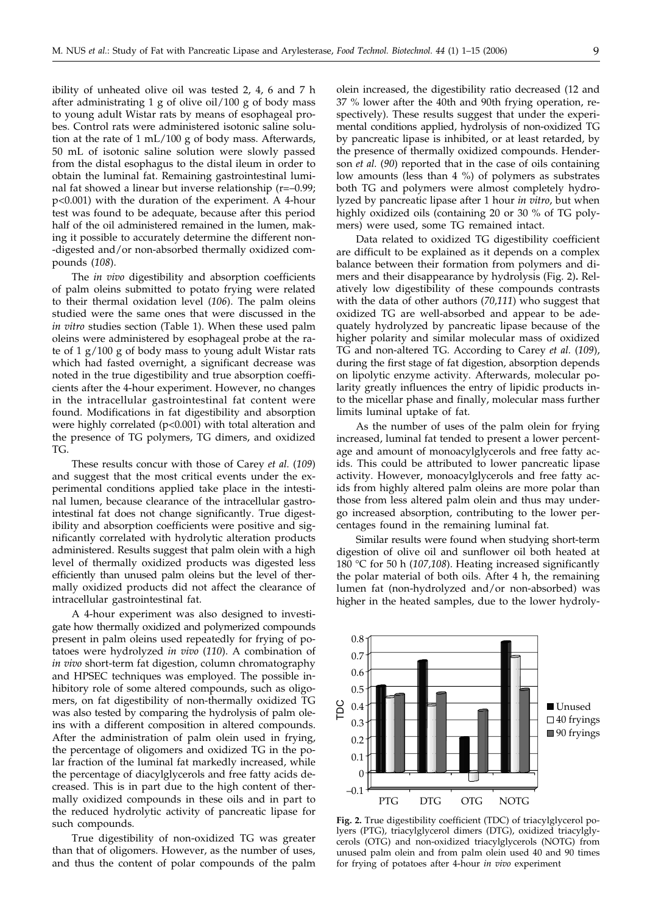ibility of unheated olive oil was tested 2, 4, 6 and 7 h after administrating 1 g of olive oil/100 g of body mass to young adult Wistar rats by means of esophageal probes. Control rats were administered isotonic saline solution at the rate of 1 mL/100 g of body mass. Afterwards, 50 mL of isotonic saline solution were slowly passed from the distal esophagus to the distal ileum in order to obtain the luminal fat. Remaining gastrointestinal luminal fat showed a linear but inverse relationship (r=–0.99; p<0.001) with the duration of the experiment. A 4-hour test was found to be adequate, because after this period half of the oil administered remained in the lumen, making it possible to accurately determine the different non- -digested and/or non-absorbed thermally oxidized compounds (*108*).

The *in vivo* digestibility and absorption coefficients of palm oleins submitted to potato frying were related to their thermal oxidation level (*106*). The palm oleins studied were the same ones that were discussed in the *in vitro* studies section (Table 1). When these used palm oleins were administered by esophageal probe at the rate of 1 g/100 g of body mass to young adult Wistar rats which had fasted overnight, a significant decrease was noted in the true digestibility and true absorption coefficients after the 4-hour experiment. However, no changes in the intracellular gastrointestinal fat content were found. Modifications in fat digestibility and absorption were highly correlated (p<0.001) with total alteration and the presence of TG polymers, TG dimers, and oxidized TG.

These results concur with those of Carey *et al.* (*109*) and suggest that the most critical events under the experimental conditions applied take place in the intestinal lumen, because clearance of the intracellular gastrointestinal fat does not change significantly. True digestibility and absorption coefficients were positive and significantly correlated with hydrolytic alteration products administered. Results suggest that palm olein with a high level of thermally oxidized products was digested less efficiently than unused palm oleins but the level of thermally oxidized products did not affect the clearance of intracellular gastrointestinal fat.

A 4-hour experiment was also designed to investigate how thermally oxidized and polymerized compounds present in palm oleins used repeatedly for frying of potatoes were hydrolyzed *in vivo* (*110*). A combination of *in vivo* short-term fat digestion, column chromatography and HPSEC techniques was employed. The possible inhibitory role of some altered compounds, such as oligomers, on fat digestibility of non-thermally oxidized TG was also tested by comparing the hydrolysis of palm oleins with a different composition in altered compounds. After the administration of palm olein used in frying, the percentage of oligomers and oxidized TG in the polar fraction of the luminal fat markedly increased, while the percentage of diacylglycerols and free fatty acids decreased. This is in part due to the high content of thermally oxidized compounds in these oils and in part to the reduced hydrolytic activity of pancreatic lipase for such compounds.

True digestibility of non-oxidized TG was greater than that of oligomers. However, as the number of uses, and thus the content of polar compounds of the palm

olein increased, the digestibility ratio decreased (12 and 37 % lower after the 40th and 90th frying operation, respectively). These results suggest that under the experimental conditions applied, hydrolysis of non-oxidized TG by pancreatic lipase is inhibited, or at least retarded, by the presence of thermally oxidized compounds. Henderson *et al.* (*90*) reported that in the case of oils containing low amounts (less than 4 %) of polymers as substrates both TG and polymers were almost completely hydrolyzed by pancreatic lipase after 1 hour *in vitro*, but when highly oxidized oils (containing 20 or 30 % of TG polymers) were used, some TG remained intact.

Data related to oxidized TG digestibility coefficient are difficult to be explained as it depends on a complex balance between their formation from polymers and dimers and their disappearance by hydrolysis (Fig. 2)**.** Relatively low digestibility of these compounds contrasts with the data of other authors (*70,111*) who suggest that oxidized TG are well-absorbed and appear to be adequately hydrolyzed by pancreatic lipase because of the higher polarity and similar molecular mass of oxidized TG and non-altered TG. According to Carey *et al.* (*109*), during the first stage of fat digestion, absorption depends on lipolytic enzyme activity. Afterwards, molecular polarity greatly influences the entry of lipidic products into the micellar phase and finally, molecular mass further limits luminal uptake of fat.

As the number of uses of the palm olein for frying increased, luminal fat tended to present a lower percentage and amount of monoacylglycerols and free fatty acids. This could be attributed to lower pancreatic lipase activity. However, monoacylglycerols and free fatty acids from highly altered palm oleins are more polar than those from less altered palm olein and thus may undergo increased absorption, contributing to the lower percentages found in the remaining luminal fat.

Similar results were found when studying short-term digestion of olive oil and sunflower oil both heated at 180 °C for 50 h (*107,108*). Heating increased significantly the polar material of both oils. After 4 h, the remaining lumen fat (non-hydrolyzed and/or non-absorbed) was higher in the heated samples, due to the lower hydroly-



**Fig. 2.** True digestibility coefficient (TDC) of triacylglycerol polyers (PTG), triacylglycerol dimers (DTG), oxidized triacylglycerols (OTG) and non-oxidized triacylglycerols (NOTG) from unused palm olein and from palm olein used 40 and 90 times for frying of potatoes after 4-hour *in vivo* experiment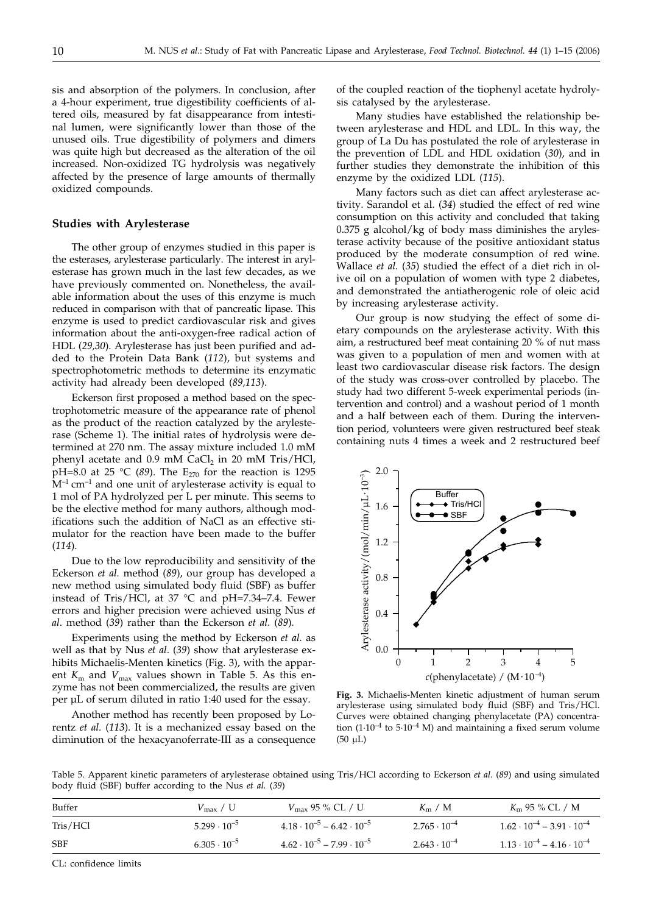sis and absorption of the polymers. In conclusion, after a 4-hour experiment, true digestibility coefficients of altered oils, measured by fat disappearance from intestinal lumen, were significantly lower than those of the unused oils. True digestibility of polymers and dimers was quite high but decreased as the alteration of the oil increased. Non-oxidized TG hydrolysis was negatively affected by the presence of large amounts of thermally oxidized compounds.

#### **Studies with Arylesterase**

The other group of enzymes studied in this paper is the esterases, arylesterase particularly. The interest in arylesterase has grown much in the last few decades, as we have previously commented on. Nonetheless, the available information about the uses of this enzyme is much reduced in comparison with that of pancreatic lipase. This enzyme is used to predict cardiovascular risk and gives information about the anti-oxygen-free radical action of HDL (*29,30*). Arylesterase has just been purified and added to the Protein Data Bank (*112*), but systems and spectrophotometric methods to determine its enzymatic activity had already been developed (*89,113*).

Eckerson first proposed a method based on the spectrophotometric measure of the appearance rate of phenol as the product of the reaction catalyzed by the arylesterase (Scheme 1). The initial rates of hydrolysis were determined at 270 nm. The assay mixture included 1.0 mM phenyl acetate and 0.9 mM  $CaCl<sub>2</sub>$  in 20 mM Tris/HCl, pH=8.0 at 25 °C (89). The  $E_{270}$  for the reaction is 1295  $M^{-1}$  cm<sup>-1</sup> and one unit of arylesterase activity is equal to 1 mol of PA hydrolyzed per L per minute. This seems to be the elective method for many authors, although modifications such the addition of NaCl as an effective stimulator for the reaction have been made to the buffer (*114*).

Due to the low reproducibility and sensitivity of the Eckerson *et al.* method (*89*), our group has developed a new method using simulated body fluid (SBF) as buffer instead of Tris/HCl, at 37 °C and pH=7.34–7.4. Fewer errors and higher precision were achieved using Nus *et al*. method (*39*) rather than the Eckerson *et al.* (*89*).

Experiments using the method by Eckerson *et al.* as well as that by Nus *et al*. (*39*) show that arylesterase exhibits Michaelis-Menten kinetics (Fig. 3), with the apparent  $K_{\rm m}$  and  $V_{\rm max}$  values shown in Table 5. As this enzyme has not been commercialized, the results are given per µL of serum diluted in ratio 1:40 used for the essay.

Another method has recently been proposed by Lorentz *et al.* (*113*). It is a mechanized essay based on the diminution of the hexacyanoferrate-III as a consequence

of the coupled reaction of the tiophenyl acetate hydrolysis catalysed by the arylesterase.

Many studies have established the relationship between arylesterase and HDL and LDL. In this way, the group of La Du has postulated the role of arylesterase in the prevention of LDL and HDL oxidation (*30*), and in further studies they demonstrate the inhibition of this enzyme by the oxidized LDL (*115*).

Many factors such as diet can affect arylesterase activity. Sarandol et al. (*34*) studied the effect of red wine consumption on this activity and concluded that taking  $0.375$  g alcohol/kg of body mass diminishes the arylesterase activity because of the positive antioxidant status produced by the moderate consumption of red wine. Wallace *et al.* (*35*) studied the effect of a diet rich in olive oil on a population of women with type 2 diabetes, and demonstrated the antiatherogenic role of oleic acid by increasing arylesterase activity.

Our group is now studying the effect of some dietary compounds on the arylesterase activity. With this aim, a restructured beef meat containing 20 % of nut mass was given to a population of men and women with at least two cardiovascular disease risk factors. The design of the study was cross-over controlled by placebo. The study had two different 5-week experimental periods (intervention and control) and a washout period of 1 month and a half between each of them. During the intervention period, volunteers were given restructured beef steak containing nuts 4 times a week and 2 restructured beef



**Fig. 3.** Michaelis-Menten kinetic adjustment of human serum arylesterase using simulated body fluid (SBF) and Tris/HCl. Curves were obtained changing phenylacetate (PA) concentration  $(1.10^{-4}$  to  $5.10^{-4}$  M) and maintaining a fixed serum volume  $(50 \mu L)$ 

Table 5. Apparent kinetic parameters of arylesterase obtained using Tris/HCl according to Eckerson *et al.* (*89*) and using simulated body fluid (SBF) buffer according to the Nus *et al.* (*39*)

| Buffer     | $V_{\rm max}$ / U     | $V_{\rm max}$ 95 % CL / U                 | $K_{\rm m}$ / M       | $Km$ 95 % CL / M                          |
|------------|-----------------------|-------------------------------------------|-----------------------|-------------------------------------------|
| Tris/HCl   | $5.299 \cdot 10^{-5}$ | $4.18 \cdot 10^{-5} - 6.42 \cdot 10^{-5}$ | $2.765 \cdot 10^{-4}$ | $1.62 \cdot 10^{-4} - 3.91 \cdot 10^{-4}$ |
| <b>SBF</b> | $6.305 \cdot 10^{-5}$ | $4.62 \cdot 10^{-5} - 7.99 \cdot 10^{-5}$ | $2.643 \cdot 10^{-4}$ | $1.13 \cdot 10^{-4} - 4.16 \cdot 10^{-4}$ |

CL: confidence limits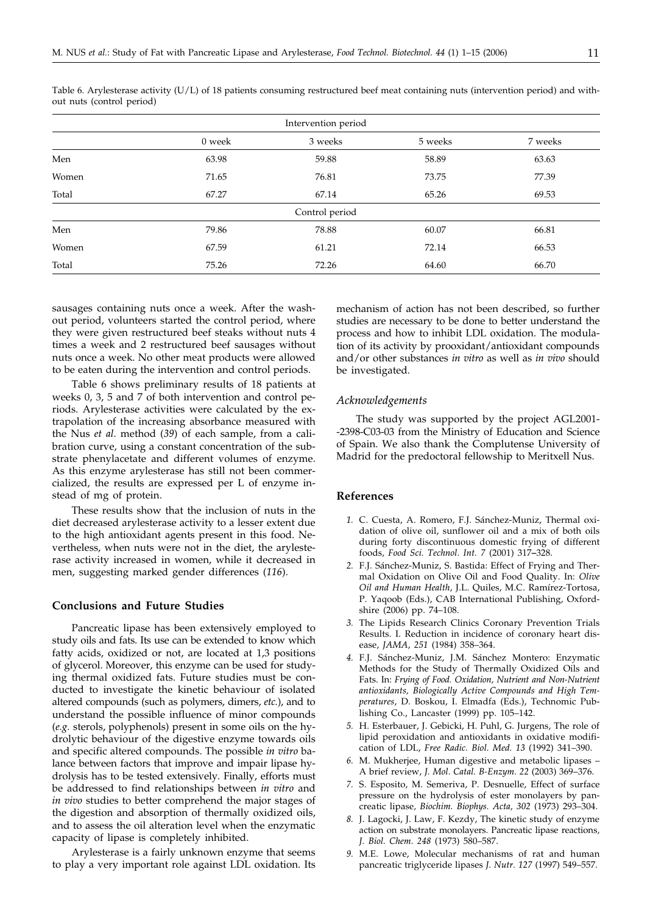| Intervention period |        |         |         |         |  |  |  |
|---------------------|--------|---------|---------|---------|--|--|--|
|                     | 0 week | 3 weeks | 5 weeks | 7 weeks |  |  |  |
| Men                 | 63.98  | 59.88   | 58.89   | 63.63   |  |  |  |
| Women               | 71.65  | 76.81   | 73.75   | 77.39   |  |  |  |
| Total               | 67.27  | 67.14   | 65.26   | 69.53   |  |  |  |
| Control period      |        |         |         |         |  |  |  |
| Men                 | 79.86  | 78.88   | 60.07   | 66.81   |  |  |  |
| Women               | 67.59  | 61.21   | 72.14   | 66.53   |  |  |  |
| Total               | 75.26  | 72.26   | 64.60   | 66.70   |  |  |  |

Table 6. Arylesterase activity (U/L) of 18 patients consuming restructured beef meat containing nuts (intervention period) and without nuts (control period)

sausages containing nuts once a week. After the washout period, volunteers started the control period, where they were given restructured beef steaks without nuts 4 times a week and 2 restructured beef sausages without nuts once a week. No other meat products were allowed to be eaten during the intervention and control periods.

Table 6 shows preliminary results of 18 patients at weeks 0, 3, 5 and 7 of both intervention and control periods. Arylesterase activities were calculated by the extrapolation of the increasing absorbance measured with the Nus *et al*. method (*39*) of each sample, from a calibration curve, using a constant concentration of the substrate phenylacetate and different volumes of enzyme. As this enzyme arylesterase has still not been commercialized, the results are expressed per L of enzyme instead of mg of protein.

These results show that the inclusion of nuts in the diet decreased arylesterase activity to a lesser extent due to the high antioxidant agents present in this food. Nevertheless, when nuts were not in the diet, the arylesterase activity increased in women, while it decreased in men, suggesting marked gender differences (*116*).

#### **Conclusions and Future Studies**

Pancreatic lipase has been extensively employed to study oils and fats. Its use can be extended to know which fatty acids, oxidized or not, are located at 1,3 positions of glycerol. Moreover, this enzyme can be used for studying thermal oxidized fats. Future studies must be conducted to investigate the kinetic behaviour of isolated altered compounds (such as polymers, dimers, *etc.*), and to understand the possible influence of minor compounds (*e.g.* sterols, polyphenols) present in some oils on the hydrolytic behaviour of the digestive enzyme towards oils and specific altered compounds. The possible *in vitro* balance between factors that improve and impair lipase hydrolysis has to be tested extensively. Finally, efforts must be addressed to find relationships between *in vitro* and *in vivo* studies to better comprehend the major stages of the digestion and absorption of thermally oxidized oils, and to assess the oil alteration level when the enzymatic capacity of lipase is completely inhibited.

Arylesterase is a fairly unknown enzyme that seems to play a very important role against LDL oxidation. Its mechanism of action has not been described, so further studies are necessary to be done to better understand the process and how to inhibit LDL oxidation. The modulation of its activity by prooxidant/antioxidant compounds and/or other substances *in vitro* as well as *in vivo* should be investigated.

#### *Acknowledgements*

The study was supported by the project AGL2001- -2398-C03-03 from the Ministry of Education and Science of Spain. We also thank the Complutense University of Madrid for the predoctoral fellowship to Meritxell Nus.

#### **References**

- *1.* C. Cuesta, A. Romero, F.J. Sánchez-Muniz, Thermal oxidation of olive oil, sunflower oil and a mix of both oils during forty discontinuous domestic frying of different foods, *Food Sci. Technol. Int. 7* (2001) 317**–**328.
- *2.* F.J. Sánchez-Muniz, S. Bastida: Effect of Frying and Thermal Oxidation on Olive Oil and Food Quality. In: *Olive Oil and Human Health*, J.L. Quiles, M.C. Ramírez-Tortosa, P. Yaqoob (Eds.), CAB International Publishing, Oxfordshire (2006) pp. 74–108.
- *3.* The Lipids Research Clinics Coronary Prevention Trials Results. I. Reduction in incidence of coronary heart disease, *JAMA*, *251* (1984) 358–364.
- *4.* F.J. Sánchez-Muniz, J.M. Sánchez Montero: Enzymatic Methods for the Study of Thermally Oxidized Oils and Fats. In: *Frying of Food. Oxidation, Nutrient and Non-Nutrient antioxidants, Biologically Active Compounds and High Temperatures*, D. Boskou, I. Elmadfa (Eds.), Technomic Publishing Co., Lancaster (1999) pp. 105–142.
- *5.* H. Esterbauer, J. Gebicki, H. Puhl, G. Jurgens, The role of lipid peroxidation and antioxidants in oxidative modification of LDL, *Free Radic. Biol. Med. 13* (1992) 341–390.
- *6.* M. Mukherjee, Human digestive and metabolic lipases A brief review, *J. Mol. Catal. B-Enzym. 22* (2003) 369–376.
- *7.* S. Esposito, M. Semeriva, P. Desnuelle, Effect of surface pressure on the hydrolysis of ester monolayers by pancreatic lipase*, Biochim. Biophys. Acta, 302* (1973) 293–304.
- *8.* J. Lagocki, J. Law, F. Kezdy, The kinetic study of enzyme action on substrate monolayers. Pancreatic lipase reactions*, J. Biol. Chem. 248* (1973) 580–587.
- *9.* M.E. Lowe, Molecular mechanisms of rat and human pancreatic triglyceride lipases *J. Nutr. 127* (1997) 549–557.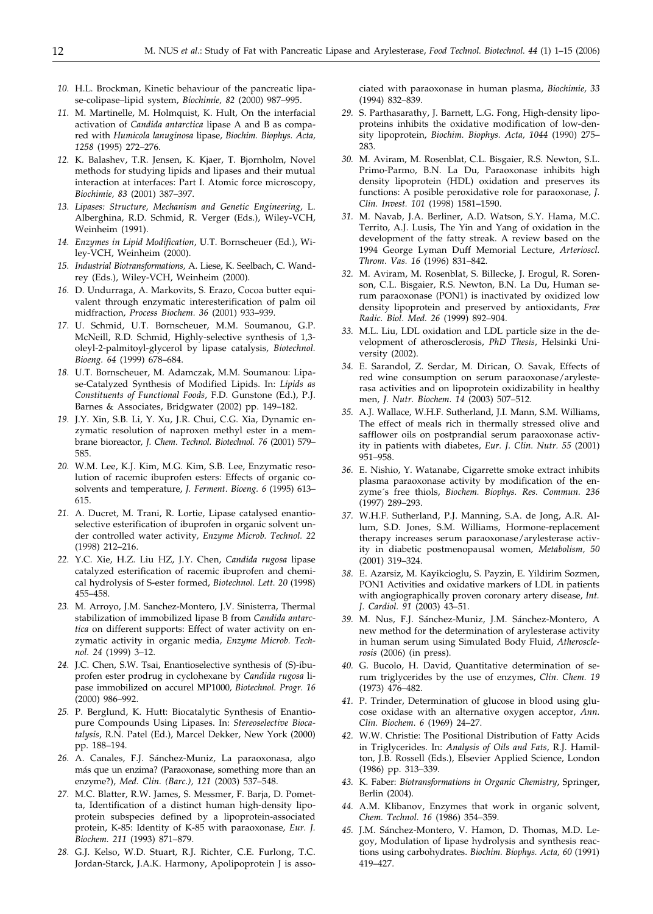- *10.* H.L. Brockman, Kinetic behaviour of the pancreatic lipase-colipase–lipid system, *Biochimie, 82* (2000) 987–995.
- *11.* M. Martinelle, M. Holmquist, K. Hult*,* On the interfacial activation of *Candida antarctica* lipase A and B as compared with *Humicola lanuginosa* lipase, *Biochim. Biophys. Acta, 1258* (1995) 272–276.
- *12.* K. Balashev, T.R. Jensen, K. Kjaer, T. Bjornholm, Novel methods for studying lipids and lipases and their mutual interaction at interfaces: Part I. Atomic force microscopy, *Biochimie, 83* (2001) 387–397.
- *13. Lipases: Structure, Mechanism and Genetic Engineering*, L. Alberghina, R.D. Schmid, R. Verger (Eds.), Wiley-VCH, Weinheim (1991).
- *14. Enzymes in Lipid Modification*, U.T. Bornscheuer (Ed.), Wiley-VCH, Weinheim (2000).
- *15. Industrial Biotransformations,* A. Liese, K. Seelbach, C. Wandrey (Eds.), Wiley-VCH, Weinheim (2000).
- *16.* D. Undurraga, A. Markovits, S. Erazo, Cocoa butter equivalent through enzymatic interesterification of palm oil midfraction, *Process Biochem. 36* (2001) 933–939.
- *17.* U. Schmid, U.T. Bornscheuer, M.M. Soumanou, G.P. McNeill, R.D. Schmid, Highly-selective synthesis of 1,3 oleyl-2-palmitoyl-glycerol by lipase catalysis, *Biotechnol. Bioeng. 64* (1999) 678–684.
- *18.* U.T. Bornscheuer, M. Adamczak, M.M. Soumanou: Lipase-Catalyzed Synthesis of Modified Lipids. In: *Lipids as Constituents of Functional Foods*, F.D. Gunstone (Ed.), P.J. Barnes & Associates, Bridgwater (2002) pp. 149–182.
- *19.* J.Y. Xin, S.B. Li, Y. Xu, J.R. Chui, C.G. Xia, Dynamic enzymatic resolution of naproxen methyl ester in a membrane bioreactor*, J. Chem. Technol. Biotechnol. 76* (2001) 579– 585.
- *20.* W.M. Lee, K.J. Kim, M.G. Kim, S.B. Lee, Enzymatic resolution of racemic ibuprofen esters: Effects of organic cosolvents and temperature, *J. Ferment*. *Bioeng. 6* (1995) 613– 615.
- *21.* A. Ducret, M. Trani, R. Lortie, Lipase catalysed enantioselective esterification of ibuprofen in organic solvent under controlled water activity*, Enzyme Microb. Technol. 22* (1998) 212–216.
- *22.* Y.C. Xie, H.Z. Liu HZ, J.Y. Chen, *Candida rugosa* lipase catalyzed esterification of racemic ibuprofen and chemical hydrolysis of S-ester formed, *Biotechnol. Lett. 20* (1998) 455–458.
- *23.* M. Arroyo, J.M. Sanchez-Montero, J.V. Sinisterra, Thermal stabilization of immobilized lipase B from *Candida antarctica* on different supports: Effect of water activity on enzymatic activity in organic media*, Enzyme Microb. Technol. 24* (1999) 3–12.
- *24.* J.C. Chen, S.W. Tsai, Enantioselective synthesis of (S)-ibuprofen ester prodrug in cyclohexane by *Candida rugosa* lipase immobilized on accurel MP1000*, Biotechnol. Progr. 16* (2000) 986–992.
- *25.* P. Berglund, K. Hutt: Biocatalytic Synthesis of Enantiopure Compounds Using Lipases. In: *Stereoselective Biocatalysis*, R.N. Patel (Ed.), Marcel Dekker, New York (2000) pp. 188–194.
- *26.* A. Canales, F.J. Sánchez-Muniz, La paraoxonasa, algo más que un enzima? (Paraoxonase, something more than an enzyme?), *Med. Clin. (Barc.), 121* (2003) 537–548.
- *27.* M.C. Blatter, R.W. James, S. Messmer, F. Barja, D. Pometta, Identification of a distinct human high-density lipoprotein subspecies defined by a lipoprotein-associated protein, K-85: Identity of K-85 with paraoxonase*, Eur. J. Biochem. 211* (1993) 871–879.
- *28.* G.J. Kelso, W.D. Stuart, R.J. Richter, C.E. Furlong, T.C. Jordan-Starck, J.A.K. Harmony, Apolipoprotein J is asso-

ciated with paraoxonase in human plasma, *Biochimie, 33* (1994) 832–839.

- *29.* S. Parthasarathy, J. Barnett, L.G. Fong, High-density lipoproteins inhibits the oxidative modification of low-density lipoprotein, *Biochim. Biophys. Acta, 1044* (1990) 275– 283.
- *30.* M. Aviram, M. Rosenblat, C.L. Bisgaier, R.S. Newton, S.L. Primo-Parmo, B.N. La Du, Paraoxonase inhibits high density lipoprotein (HDL) oxidation and preserves its functions: A posible peroxidative role for paraoxonase, *J. Clin. Invest. 101* (1998) 1581–1590.
- *31.* M. Navab, J.A. Berliner, A.D. Watson, S.Y. Hama, M.C. Territo, A.J. Lusis, The Yin and Yang of oxidation in the development of the fatty streak. A review based on the 1994 George Lyman Duff Memorial Lecture, *Arterioscl. Throm. Vas. 16* (1996) 831–842.
- *32.* M. Aviram, M. Rosenblat, S. Billecke, J. Erogul, R. Sorenson, C.L. Bisgaier, R.S. Newton, B.N. La Du, Human serum paraoxonase (PON1) is inactivated by oxidized low density lipoprotein and preserved by antioxidants, *Free Radic. Biol. Med. 26* (1999) 892–904.
- *33.* M.L. Liu, LDL oxidation and LDL particle size in the development of atherosclerosis, *PhD Thesis*, Helsinki University (2002).
- *34.* E. Sarandol, Z. Serdar, M. Dirican, O. Savak*,* Effects of red wine consumption on serum paraoxonase/arylesterasa activities and on lipoprotein oxidizability in healthy men, *J. Nutr. Biochem. 14* (2003) 507–512.
- *35.* A.J. Wallace, W.H.F. Sutherland, J.I. Mann, S.M. Williams, The effect of meals rich in thermally stressed olive and safflower oils on postprandial serum paraoxonase activity in patients with diabetes, *Eur. J. Clin. Nutr. 55* (2001) 951–958.
- *36.* E. Nishio, Y. Watanabe, Cigarrette smoke extract inhibits plasma paraoxonase activity by modification of the enzyme´s free thiols, *Biochem. Biophys. Res. Commun. 236* (1997) 289–293.
- *37.* W.H.F. Sutherland, P.J. Manning, S.A. de Jong, A.R. Allum, S.D. Jones, S.M. Williams, Hormone-replacement therapy increases serum paraoxonase/arylesterase activity in diabetic postmenopausal women*, Metabolism, 50* (2001) 319–324.
- *38.* E. Azarsiz, M. Kayikcioglu, S. Payzin, E. Yildirim Sozmen, PON1 Activities and oxidative markers of LDL in patients with angiographically proven coronary artery disease, *Int. J. Cardiol. 91* (2003) 43–51.
- *39.* M. Nus, F.J. Sánchez-Muniz, J.M. Sánchez-Montero, A new method for the determination of arylesterase activity in human serum using Simulated Body Fluid, *Atherosclerosis* (2006) (in press).
- *40.* G. Bucolo, H. David, Quantitative determination of serum triglycerides by the use of enzymes, *Clin. Chem. 19* (1973) 476–482.
- *41.* P. Trinder, Determination of glucose in blood using glucose oxidase with an alternative oxygen acceptor, *Ann. Clin. Biochem. 6* (1969) 24–27.
- *42.* W.W. Christie: The Positional Distribution of Fatty Acids in Triglycerides. In: *Analysis of Oils and Fats*, R.J. Hamilton, J.B. Rossell (Eds.), Elsevier Applied Science, London (1986) pp. 313–339.
- *43.* K. Faber: *Biotransformations in Organic Chemistry*, Springer, Berlin (2004).
- *44.* A.M. Klibanov, Enzymes that work in organic solvent*, Chem. Technol. 16* (1986) 354–359.
- *45.* J.M. Sánchez-Montero, V. Hamon, D. Thomas, M.D. Legoy, Modulation of lipase hydrolysis and synthesis reactions using carbohydrates. *Biochim. Biophys. Acta, 60* (1991) 419–427.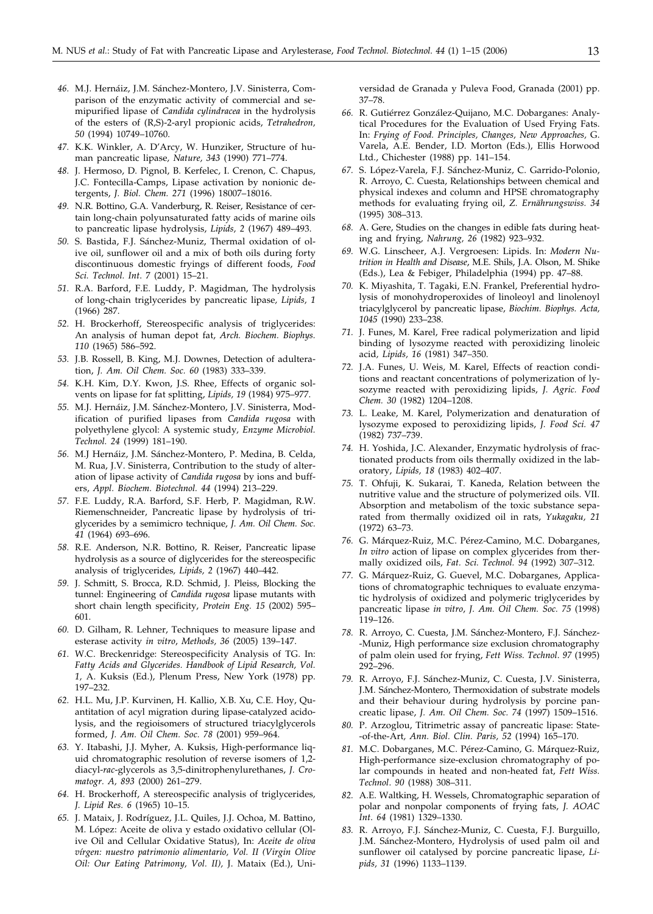- *46.* M.J. Hernáiz, J.M. Sánchez-Montero, J.V. Sinisterra, Comparison of the enzymatic activity of commercial and semipurified lipase of *Candida cylindracea* in the hydrolysis of the esters of (R,S)-2-aryl propionic acids, *Tetrahedron, 50* (1994) 10749–10760.
- *47.* K.K. Winkler, A. D'Arcy, W. Hunziker, Structure of human pancreatic lipase*, Nature, 343* (1990) 771–774.
- *48.* J. Hermoso, D. Pignol, B. Kerfelec, I. Crenon, C. Chapus, J.C. Fontecilla-Camps, Lipase activation by nonionic detergents, *J. Biol. Chem. 271* (1996) 18007–18016.
- *49.* N.R. Bottino, G.A. Vanderburg, R. Reiser, Resistance of certain long-chain polyunsaturated fatty acids of marine oils to pancreatic lipase hydrolysis, *Lipids, 2* (1967) 489–493.
- *50.* S. Bastida, F.J. Sánchez-Muniz, Thermal oxidation of olive oil, sunflower oil and a mix of both oils during forty discontinuous domestic fryings of different foods, *Food Sci. Technol. Int*. 7 (2001) 15–21.
- *51.* R.A. Barford, F.E. Luddy, P. Magidman, The hydrolysis of long-chain triglycerides by pancreatic lipase*, Lipids, 1* (1966) 287.
- *52.* H. Brockerhoff, Stereospecific analysis of triglycerides: An analysis of human depot fat, *Arch. Biochem. Biophys. 110* (1965) 586–592.
- *53.* J.B. Rossell, B. King, M.J. Downes, Detection of adulteration, *J. Am. Oil Chem. Soc. 60* (1983) 333–339.
- *54.* K.H. Kim, D.Y. Kwon, J.S. Rhee, Effects of organic solvents on lipase for fat splitting, *Lipids, 19* (1984) 975–977.
- *55.* M.J. Hernáiz, J.M. Sánchez-Montero, J.V. Sinisterra, Modification of purified lipases from *Candida rugosa* with polyethylene glycol: A systemic study*, Enzyme Microbiol. Technol. 24* (1999) 181–190.
- *56.* M.J Hernáiz, J.M. Sánchez-Montero, P. Medina, B. Celda, M. Rua, J.V. Sinisterra, Contribution to the study of alteration of lipase activity of *Candida rugosa* by ions and buffers, *Appl. Biochem. Biotechnol. 44* (1994) 213–229.
- *57.* F.E. Luddy, R.A. Barford, S.F. Herb, P. Magidman, R.W. Riemenschneider, Pancreatic lipase by hydrolysis of triglycerides by a semimicro technique, *J. Am. Oil Chem. Soc. 41* (1964) 693–696.
- *58.* R.E. Anderson, N.R. Bottino, R. Reiser, Pancreatic lipase hydrolysis as a source of diglycerides for the stereospecific analysis of triglycerides*, Lipids, 2* (1967) 440–442.
- *59.* J. Schmitt, S. Brocca, R.D. Schmid, J. Pleiss, Blocking the tunnel: Engineering of *Candida rugosa* lipase mutants with short chain length specificity, *Protein Eng. 15* (2002) 595– 601.
- *60.* D. Gilham, R. Lehner, Techniques to measure lipase and esterase activity *in vitro*, *Methods, 36* (2005) 139–147.
- *61.* W.C. Breckenridge: Stereospecificity Analysis of TG. In: *Fatty Acids and Glycerides. Handbook of Lipid Research, Vol. 1,* A. Kuksis (Ed.), Plenum Press, New York (1978) pp. 197–232.
- *62.* H.L. Mu, J.P. Kurvinen, H. Kallio, X.B. Xu, C.E. Hoy, Quantitation of acyl migration during lipase-catalyzed acidolysis, and the regioisomers of structured triacylglycerols formed, *J. Am. Oil Chem. Soc. 78* (2001) 959–964.
- *63.* Y. Itabashi, J.J. Myher, A. Kuksis, High-performance liquid chromatographic resolution of reverse isomers of 1,2 diacyl-*rac*-glycerols as 3,5-dinitrophenylurethanes, *J. Cromatogr. A, 893* (2000) 261–279.
- *64.* H. Brockerhoff, A stereospecific analysis of triglycerides*, J. Lipid Res. 6* (1965) 10–15.
- *65.* J. Mataix, J. Rodríguez, J.L. Quiles, J.J. Ochoa, M. Battino, M. López: Aceite de oliva y estado oxidativo cellular (Olive Oil and Cellular Oxidative Status), In: *Aceite de oliva vírgen: nuestro patrimonio alimentario, Vol. II (Virgin Olive Oil: Our Eating Patrimony, Vol. II),* J. Mataix (Ed.), Uni-

versidad de Granada y Puleva Food, Granada (2001) pp. 37–78.

- *66.* R. Gutiérrez González-Quijano, M.C. Dobarganes: Analytical Procedures for the Evaluation of Used Frying Fats. In: *Frying of Food. Principles, Changes, New Approaches,* G. Varela, A.E. Bender, I.D. Morton (Eds.), Ellis Horwood Ltd., Chichester (1988) pp. 141–154.
- *67.* S. López-Varela, F.J. Sánchez-Muniz, C. Garrido-Polonio, R. Arroyo, C. Cuesta, Relationships between chemical and physical indexes and column and HPSE chromatography methods for evaluating frying oil, *Z. Ernährungswiss. 34* (1995) 308–313.
- *68.* A. Gere, Studies on the changes in edible fats during heating and frying*, Nahrung, 26* (1982) 923–932.
- *69.* W.G. Linscheer, A.J. Vergroesen: Lipids. In: *Modern Nutrition in Health and Disease*, M.E. Shils, J.A. Olson, M. Shike (Eds.), Lea & Febiger, Philadelphia (1994) pp. 47–88.
- *70.* K. Miyashita, T. Tagaki, E.N. Frankel, Preferential hydrolysis of monohydroperoxides of linoleoyl and linolenoyl triacylglycerol by pancreatic lipase, *Biochim. Biophys. Acta, 1045* (1990) 233–238.
- *71.* J. Funes, M. Karel, Free radical polymerization and lipid binding of lysozyme reacted with peroxidizing linoleic acid*, Lipids, 16* (1981) 347–350.
- *72.* J.A. Funes, U. Weis, M. Karel, Effects of reaction conditions and reactant concentrations of polymerization of lysozyme reacted with peroxidizing lipids, *J. Agric. Food Chem. 30* (1982) 1204–1208.
- *73.* L. Leake, M. Karel, Polymerization and denaturation of lysozyme exposed to peroxidizing lipids, *J. Food Sci. 47* (1982) 737–739.
- *74.* H. Yoshida, J.C. Alexander, Enzymatic hydrolysis of fractionated products from oils thermally oxidized in the laboratory, *Lipids, 18* (1983) 402–407.
- *75.* T. Ohfuji, K. Sukarai, T. Kaneda, Relation between the nutritive value and the structure of polymerized oils. VII. Absorption and metabolism of the toxic substance separated from thermally oxidized oil in rats, *Yukagaku, 21* (1972) 63–73.
- *76.* G. Márquez-Ruiz, M.C. Pérez-Camino, M.C. Dobarganes, *In vitro* action of lipase on complex glycerides from thermally oxidized oils, *Fat. Sci. Technol. 94* (1992) 307–312.
- *77.* G. Márquez-Ruiz, G. Guevel, M.C. Dobarganes, Applications of chromatographic techniques to evaluate enzymatic hydrolysis of oxidized and polymeric triglycerides by pancreatic lipase *in vitro*, *J. Am. Oil Chem. Soc. 75* (1998) 119–126.
- *78.* R. Arroyo, C. Cuesta, J.M. Sánchez-Montero, F.J. Sánchez- -Muniz, High performance size exclusion chromatography of palm olein used for frying, *Fett Wiss. Technol*. *97* (1995) 292–296.
- *79.* R. Arroyo, F.J. Sánchez-Muniz, C. Cuesta, J.V. Sinisterra, J.M. Sánchez-Montero, Thermoxidation of substrate models and their behaviour during hydrolysis by porcine pancreatic lipase, *J. Am. Oil Chem. Soc. 74* (1997) 1509–1516.
- *80.* P. Arzoglou, Titrimetric assay of pancreatic lipase: State- -of-the-Art*, Ann. Biol. Clin. Paris, 52* (1994) 165–170.
- *81.* M.C. Dobarganes, M.C. Pérez-Camino, G. Márquez-Ruiz, High-performance size-exclusion chromatography of polar compounds in heated and non-heated fat, *Fett Wiss. Technol*. *90* (1988) 308–311.
- *82.* A.E. Waltking, H. Wessels, Chromatographic separation of polar and nonpolar components of frying fats, *J. AOAC Int*. *64* (1981) 1329–1330.
- *83.* R. Arroyo, F.J. Sánchez-Muniz, C. Cuesta, F.J. Burguillo, J.M. Sánchez-Montero, Hydrolysis of used palm oil and sunflower oil catalysed by porcine pancreatic lipase, *Lipids, 31* (1996) 1133–1139.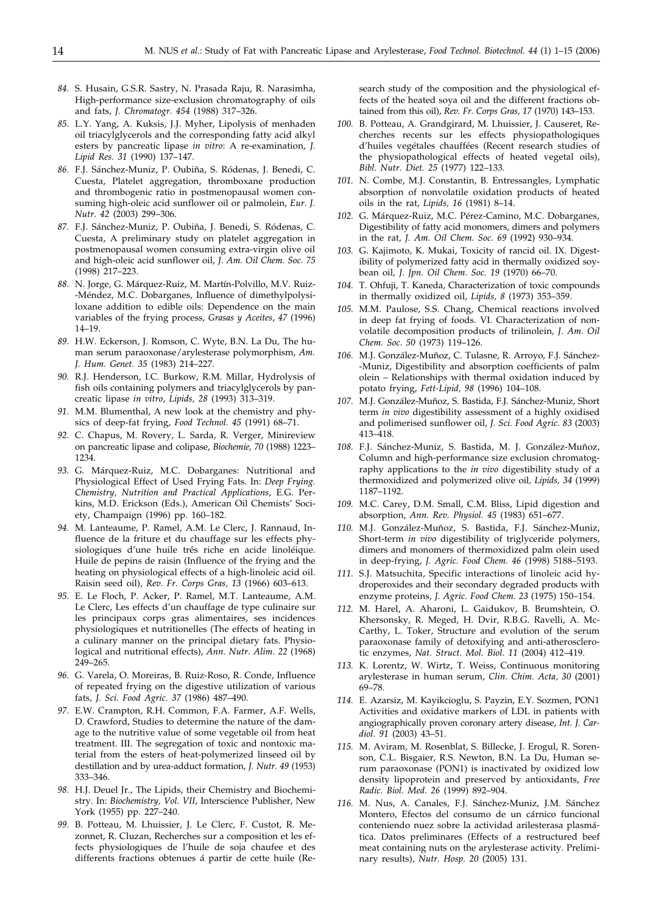- *84.* S. Husain, G.S.R. Sastry, N. Prasada Raju, R. Narasimha, High-performance size-exclusion chromatography of oils and fats, *J. Chromatogr. 454* (1988) 317–326.
- *85.* L.Y. Yang, A. Kuksis, J.J. Myher, Lipolysis of menhaden oil triacylglycerols and the corresponding fatty acid alkyl esters by pancreatic lipase *in vitro*: A re-examination, *J. Lipid Res. 31* (1990) 137–147.
- *86.* F.J. Sánchez-Muniz, P. Oubiña, S. Ródenas, J. Benedi, C. Cuesta, Platelet aggregation, thromboxane production and thrombogenic ratio in postmenopausal women consuming high-oleic acid sunflower oil or palmolein, *Eur. J. Nutr. 42* (2003) 299–306.
- *87.* F.J. Sánchez-Muniz, P. Oubiña, J. Benedi, S. Ródenas, C. Cuesta, A preliminary study on platelet aggregation in postmenopausal women consuming extra-virgin olive oil and high-oleic acid sunflower oil, *J. Am. Oil Chem. Soc. 75* (1998) 217–223.
- *88.* N. Jorge, G. Márquez-Ruiz, M. Martín-Polvillo, M.V. Ruiz- -Méndez, M.C. Dobarganes, Influence of dimethylpolysiloxane addition to edible oils: Dependence on the main variables of the frying process, *Grasas y Aceites*, *47* (1996) 14–19.
- *89.* H.W. Eckerson, J. Romson, C. Wyte, B.N. La Du, The human serum paraoxonase/arylesterase polymorphism, *Am. J. Hum. Genet. 35* (1983) 214–227.
- *90.* R.J. Henderson, I.C. Burkow, R.M. Millar, Hydrolysis of fish oils containing polymers and triacylglycerols by pancreatic lipase *in vitro*, *Lipids, 28* (1993) 313–319.
- *91.* M.M. Blumenthal, A new look at the chemistry and physics of deep-fat frying, *Food Technol. 45* (1991) 68–71.
- *92.* C. Chapus, M. Rovery, L. Sarda, R. Verger, Minireview on pancreatic lipase and colipase, *Biochemie, 70* (1988) 1223– 1234.
- *93.* G. Márquez-Ruiz, M.C. Dobarganes: Nutritional and Physiological Effect of Used Frying Fats. In: *Deep Frying. Chemistry, Nutrition and Practical Applications*, E.G. Perkins, M.D. Erickson (Eds.), American Oil Chemists' Society, Champaign (1996) pp. 160–182.
- *94.* M. Lanteaume, P. Ramel, A.M. Le Clerc, J. Rannaud, Influence de la friture et du chauffage sur les effects physiologiques d'une huile três riche en acide linoléique. Huile de pepins de raisin (Influence of the frying and the heating on physiological effects of a high-linoleic acid oil. Raisin seed oil), *Rev. Fr. Corps Gras, 13* (1966) 603–613.
- *95.* E. Le Floch, P. Acker, P. Ramel, M.T. Lanteaume, A.M. Le Clerc, Les effects d'un chauffage de type culinaire sur les principaux corps gras alimentaires, ses incidences physiologiques et nutritionelles (The effects of heating in a culinary manner on the principal dietary fats. Physiological and nutritional effects), *Ann. Nutr. Alim. 22* (1968) 249–265.
- *96.* G. Varela, O. Moreiras, B. Ruiz-Roso, R. Conde, Influence of repeated frying on the digestive utilization of various fats, *J. Sci. Food Agric. 37* (1986) 487–490.
- *97.* E.W. Crampton, R.H. Common, F.A. Farmer, A.F. Wells, D. Crawford, Studies to determine the nature of the damage to the nutritive value of some vegetable oil from heat treatment. III. The segregation of toxic and nontoxic material from the esters of heat-polymerized linseed oil by destillation and by urea-adduct formation, *J. Nutr. 49* (1953) 333–346.
- *98.* H.J. Deuel Jr., The Lipids, their Chemistry and Biochemistry. In: *Biochemistry, Vol. VII*, Interscience Publisher, New York (1955) pp. 227–240.
- *99.* B. Potteau, M. Lhuissier, J. Le Clerc, F. Custot, R. Mezonnet, R. Cluzan, Recherches sur a composition et les effects physiologiques de l'huile de soja chaufee et des differents fractions obtenues á partir de cette huile (Re-

search study of the composition and the physiological effects of the heated soya oil and the different fractions obtained from this oil), *Rev. Fr. Corps Gras, 17* (1970) 143–153.

- *100.* B. Potteau, A. Grandgirard, M. Lhuissier, J. Causeret, Recherches recents sur les effects physiopathologiques d'huiles vegétales chauffées (Recent research studies of the physiopathological effects of heated vegetal oils), *Bibl. Nutr. Diet. 25* (1977) 122–133.
- *101.* N. Combe, M.J. Constantin, B. Entressangles, Lymphatic absorption of nonvolatile oxidation products of heated oils in the rat, *Lipids, 16* (1981) 8–14.
- *102.* G. Márquez-Ruiz, M.C. Pérez-Camino, M.C. Dobarganes, Digestibility of fatty acid monomers, dimers and polymers in the rat, *J. Am. Oil Chem. Soc. 69* (1992) 930–934.
- *103.* G. Kajimoto, K. Mukai, Toxicity of rancid oil. IX. Digestibility of polymerized fatty acid in thermally oxidized soybean oil*, J. Jpn. Oil Chem. Soc. 19* (1970) 66–70.
- *104.* T. Ohfuji, T. Kaneda, Characterization of toxic compounds in thermally oxidized oil, *Lipids, 8* (1973) 353–359.
- *105.* M.M. Paulose, S.S. Chang, Chemical reactions involved in deep fat frying of foods. VI. Characterization of nonvolatile decomposition products of trilinolein*, J. Am. Oil Chem. Soc. 50* (1973) 119–126.
- *106.* M.J. González-Muñoz, C. Tulasne, R. Arroyo, F.J. Sánchez- -Muniz, Digestibility and absorption coefficients of palm olein – Relationships with thermal oxidation induced by potato frying, *Fett-Lipid, 98* (1996) 104–108.
- *107.* M.J. González-Muñoz, S. Bastida, F.J. Sánchez-Muniz, Short term *in vivo* digestibility assessment of a highly oxidised and polimerised sunflower oil, *J. Sci. Food Agric*. *83* (2003) 413–418.
- *108.* F.J. Sánchez-Muniz, S. Bastida, M. J. González-Muñoz, Column and high-performance size exclusion chromatography applications to the *in vivo* digestibility study of a thermoxidized and polymerized olive oil*, Lipids, 34* (1999) 1187–1192.
- *109.* M.C. Carey, D.M. Small, C.M. Bliss, Lipid digestion and absorption, *Ann. Rev. Physiol. 45* (1983) 651–677.
- *110.* M.J. González-Muñoz, S. Bastida, F.J. Sánchez-Muniz, Short-term *in vivo* digestibility of triglyceride polymers, dimers and monomers of thermoxidized palm olein used in deep-frying, *J. Agric. Food Chem. 46* (1998) 5188–5193.
- *111.* S.J. Matsuchita, Specific interactions of linoleic acid hydroperoxides and their secondary degraded products with enzyme proteins*, J. Agric. Food Chem. 23* (1975) 150–154.
- *112.* M. Harel, A. Aharoni, L. Gaidukov, B. Brumshtein, O. Khersonsky, R. Meged, H. Dvir, R.B.G. Ravelli, A. Mc-Carthy, L. Toker, Structure and evolution of the serum paraoxonase family of detoxifying and anti-atherosclerotic enzymes, *Nat. Struct. Mol. Biol. 11* (2004) 412–419.
- *113.* K. Lorentz, W. Wirtz, T. Weiss, Continuous monitoring arylesterase in human serum, *Clin. Chim. Acta, 30* (2001) 69–78.
- *114.* E. Azarsiz, M. Kayikcioglu, S. Payzin, E.Y. Sozmen, PON1 Activities and oxidative markers of LDL in patients with angiographically proven coronary artery disease, *Int. J. Cardiol. 91* (2003) 43–51.
- *115.* M. Aviram, M. Rosenblat, S. Billecke, J. Erogul, R. Sorenson, C.L. Bisgaier, R.S. Newton, B.N. La Du, Human serum paraoxonase (PON1) is inactivated by oxidized low density lipoprotein and preserved by antioxidants, *Free Radic. Biol. Med. 26* (1999) 892–904.
- *116.* M. Nus, A. Canales, F.J. Sánchez-Muniz, J.M. Sánchez Montero, Efectos del consumo de un cárnico funcional conteniendo nuez sobre la actividad arilesterasa plasmática. Datos preliminares (Effects of a restructured beef meat containing nuts on the arylesterase activity. Preliminary results), *Nutr. Hosp. 20* (2005) 131.